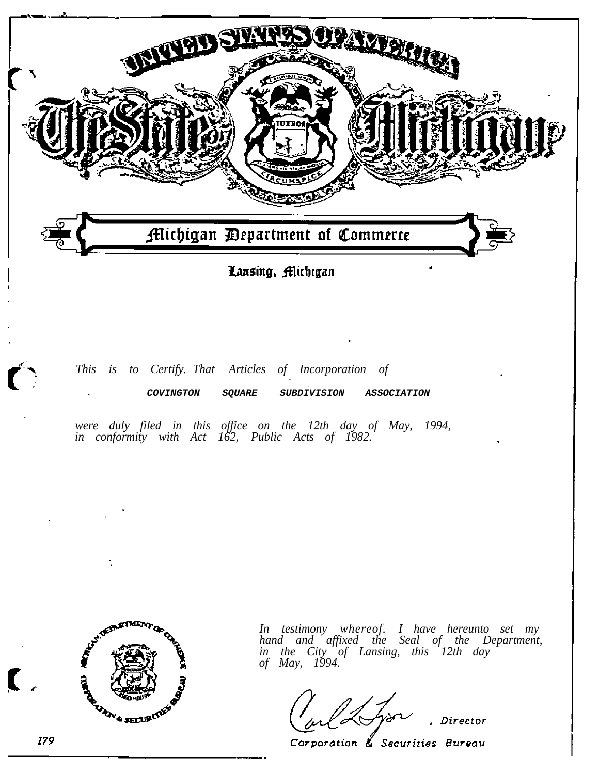

# *This is to Certify. That Articles of Incorporation of*  **COVINGTON SQUARE SUBDIVISION ASSOCIATION**

*were duly filed in this office on the 12th day of May, 1994, in conformity with Act 162, Public Acts of 1982.* 



 $\ddot{\phantom{a}}$ 

*In testimony whereof. I have hereunto set my hand and affixed the Seal of the Department, in the City of Lansing, this 12th day of May, 1994.* 

Director

Corporation & Securities Bureau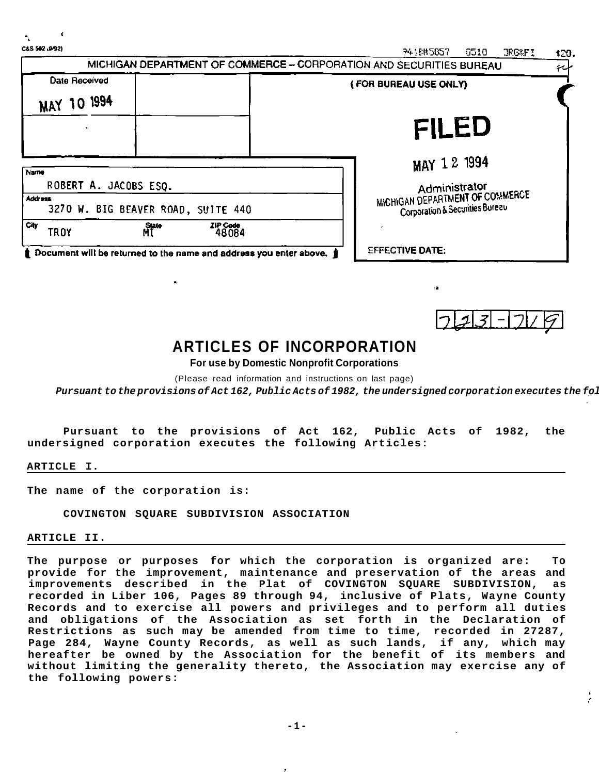| C&S 502 (992)                                                          | 74 LEN5057<br>6510<br><b>JRG4FI</b><br>120.                                 |
|------------------------------------------------------------------------|-----------------------------------------------------------------------------|
|                                                                        | MICHIGAN DEPARTMENT OF COMMERCE - CORPORATION AND SECURITIES BUREAU<br>ملية |
| Date Received                                                          | (FOR BUREAU USE ONLY)                                                       |
| MAY 10 1994                                                            |                                                                             |
|                                                                        | <b>FILED</b>                                                                |
| Name                                                                   | MAY 12 1994                                                                 |
| ROBERT A. JACOBS ESQ.                                                  | Administrator                                                               |
| <b>Address</b><br>3270 W. BIG BEAVER ROAD, SUITE 440                   | MICHIGAN DEPARTMENT OF COMMERCE<br>Corporation & Securities Bureau          |
| City<br>State<br>MI<br><b>TROY</b>                                     | ZIP Code<br>48084                                                           |
| t Document will be returned to the name and address you enter above. t | <b>EFFECTIVE DATE:</b>                                                      |



# **ARTICLES OF INCORPORATION**

**For use by Domestic Nonprofit Corporations** 

(Please read information and instructions on last page)

Pursuant to the provisions of Act 162, Public Acts of 1982, the undersigned corporation executes the fol

**Pursuant to the provisions of Act 162, Public Acts of 1982, the undersigned corporation executes the following Articles:** 

**ARTICLE I.** 

**The name of the corporation is:** 

**COVINGTON SQUARE SUBDIVISION ASSOCIATION** 

**ARTICLE II.** 

**The purpose or purposes for which the corporation is organized are: To provide for the improvement, maintenance and preservation of the areas and improvements described in the Plat of COVINGTON SQUARE SUBDIVISION, as recorded in Liber 106, Pages 89 through 94, inclusive of Plats, Wayne County Records and to exercise all powers and privileges and to perform all duties and obligations of the Association as set forth in the Declaration of Restrictions as such may be amended from time to time, recorded in 27287, Page 284, Wayne County Records, as well as such lands, if any, which may hereafter be owned by the Association for the benefit of its members and without limiting the generality thereto, the Association may exercise any of the following powers:**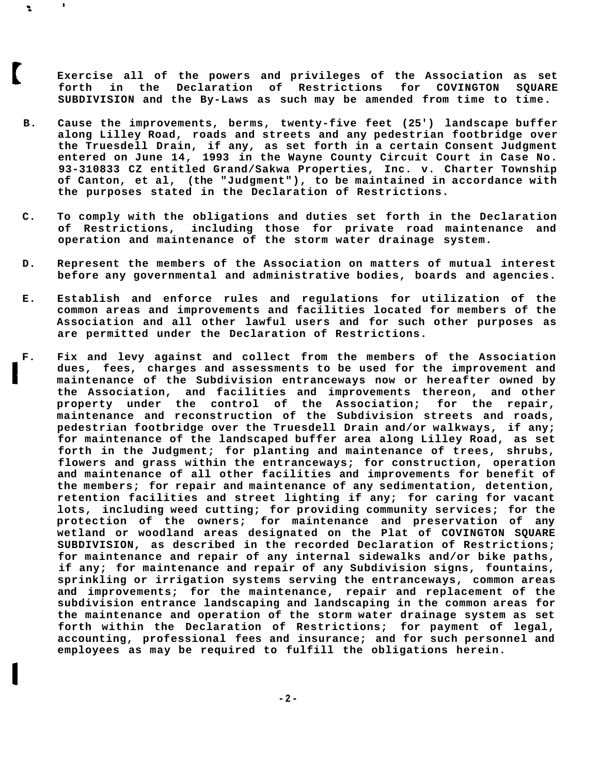**Exercise all of the powers and privileges of the Association as set forth in the Declaration of Restrictions for COVINGTON SQUARE SUBDIVISION and the By-Laws as such may be amended from time to time.** 

**B. Cause the improvements, berms, twenty-five feet (25') landscape buffer along Lilley Road, roads and streets and any pedestrian footbridge over the Truesdell Drain, if any, as set forth in a certain Consent Judgment entered on June 14, 1993 in the Wayne County Circuit Court in Case No. 93-310833 CZ entitled Grand/Sakwa Properties, Inc. v. Charter Township of Canton, et al, (the "Judgment"), to be maintained in accordance with the purposes stated in the Declaration of Restrictions.** 

 $\blacksquare$ 

÷.

- **C. To comply with the obligations and duties set forth in the Declaration of Restrictions, including those for private road maintenance and operation and maintenance of the storm water drainage system.**
- **D. Represent the members of the Association on matters of mutual interest before any governmental and administrative bodies, boards and agencies.**
- **E. Establish and enforce rules and regulations for utilization of the common areas and improvements and facilities located for members of the Association and all other lawful users and for such other purposes as are permitted under the Declaration of Restrictions.**
- **F. Fix and levy against and collect from the members of the Association dues, fees, charges and assessments to be used for the improvement and maintenance of the Subdivision entranceways now or hereafter owned by the Association, and facilities and improvements thereon, and other property under the control of the Association; for the repair, maintenance and reconstruction of the Subdivision streets and roads, pedestrian footbridge over the Truesdell Drain and/or walkways, if any; for maintenance of the landscaped buffer area along Lilley Road, as set forth in the Judgment; for planting and maintenance of trees, shrubs, flowers and grass within the entranceways; for construction, operation and maintenance of all other facilities and improvements for benefit of the members; for repair and maintenance of any sedimentation, detention, retention facilities and street lighting if any; for caring for vacant lots, including weed cutting; for providing community services; for the protection of the owners; for maintenance and preservation of any wetland or woodland areas designated on the Plat of COVINGTON SQUARE SUBDIVISION, as described in the recorded Declaration of Restrictions; for maintenance and repair of any internal sidewalks and/or bike paths, if any; for maintenance and repair of any Subdivision signs, fountains, sprinkling or irrigation systems serving the entranceways, common areas and improvements; for the maintenance, repair and replacement of the subdivision entrance landscaping and landscaping in the common areas for the maintenance and operation of the storm water drainage system as set forth within the Declaration of Restrictions; for payment of legal, accounting, professional fees and insurance; and for such personnel and employees as may be required to fulfill the obligations herein.**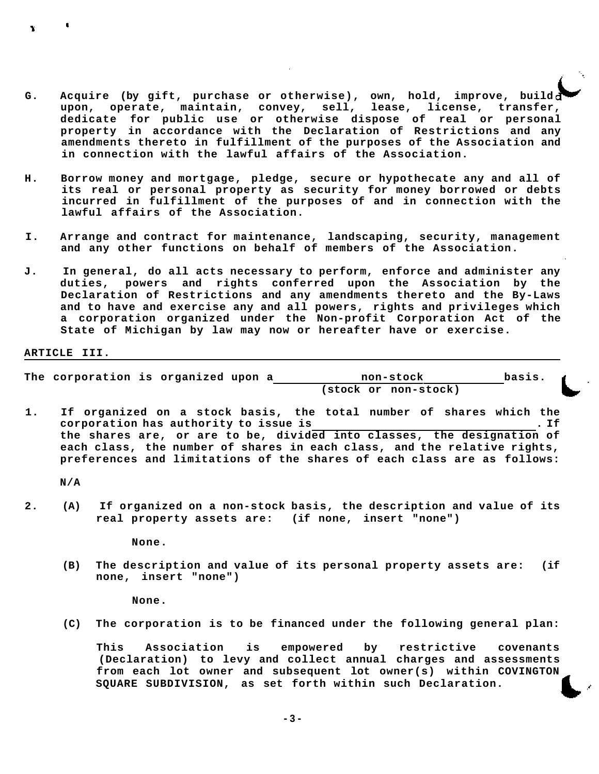- **G. Acquire (by gift, purchase or otherwise), own, hold, improve, build upon, operate, maintain, convey, sell, lease, license, transfer, dedicate for public use or otherwise dispose of real or personal property in accordance with the Declaration of Restrictions and any amendments thereto in fulfillment of the purposes of the Association and in connection with the lawful affairs of the Association.**
- **H. Borrow money and mortgage, pledge, secure or hypothecate any and all of its real or personal property as security for money borrowed or debts incurred in fulfillment of the purposes of and in connection with the lawful affairs of the Association.**
- **I. Arrange and contract for maintenance, landscaping, security, management and any other functions on behalf of members of the Association.**
- **J. In general, do all acts necessary to perform, enforce and administer any duties, powers and rights conferred upon the Association by the Declaration of Restrictions and any amendments thereto and the By-Laws and to have and exercise any and all powers, rights and privileges which a corporation organized under the Non-profit Corporation Act of the State of Michigan by law may now or hereafter have or exercise.**

#### **ARTICLE III.**

**The corporation is organized upon a non-stock basis. (stock or non-stock)** 

**1. If organized on a stock basis, the total number of shares which the corporation has authority to issue is . If the shares are, or are to be, divided into classes, the designation of each class, the number of shares in each class, and the relative rights, preferences and limitations of the shares of each class are as follows:** 

**N/A** 

**2. (A) If organized on a non-stock basis, the description and value of its real property assets are: (if none, insert "none")** 

**None.** 

**(B) The description and value of its personal property assets are: (if none, insert "none")** 

**None.** 

**(C) The corporation is to be financed under the following general plan:** 

**This Association is empowered by restrictive covenants (Declaration) to levy and collect annual charges and assessments from each lot owner and subsequent lot owner(s) within COVINGTON SQUARE SUBDIVISION, as set forth within such Declaration.** 

**- 3-**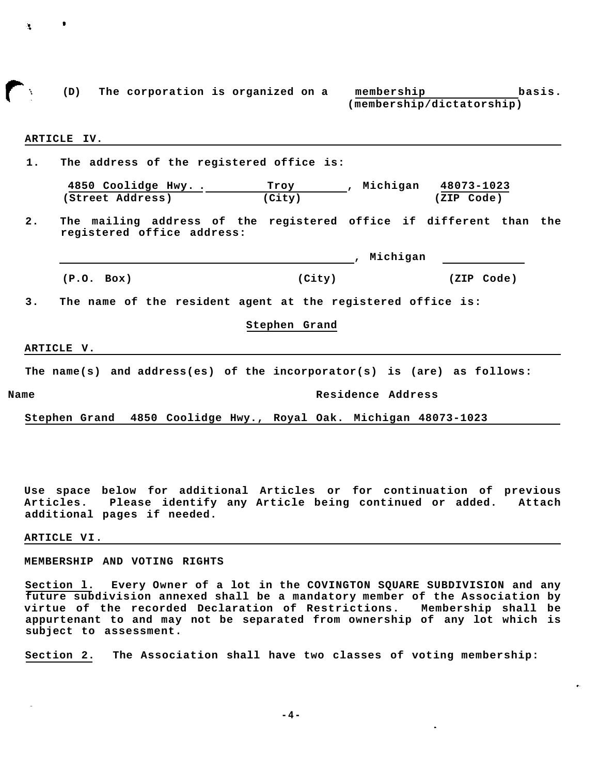|            |                                                                                                  |               | (membership/dictatorship)  |            |
|------------|--------------------------------------------------------------------------------------------------|---------------|----------------------------|------------|
|            |                                                                                                  |               |                            |            |
|            | ARTICLE IV.                                                                                      |               |                            |            |
| 1.         | The address of the registered office is:                                                         |               |                            |            |
|            | 4850 Coolidge Hwy                                                                                |               | Troy , Michigan 48073-1023 |            |
|            | (Street Address)                                                                                 | (City)        |                            | (ZIP Code) |
| 2.         | The mailing address of the registered office if different than the<br>registered office address: |               |                            |            |
|            |                                                                                                  |               | , Michigan                 |            |
|            | (P.O. Box)                                                                                       | (City)        |                            | (ZIP Code) |
| 3.         | The name of the resident agent at the registered office is:                                      |               |                            |            |
|            |                                                                                                  | Stephen Grand |                            |            |
| ARTICLE V. |                                                                                                  |               |                            |            |
|            | The name(s) and address(es) of the incorporator(s) is (are) as follows:                          |               |                            |            |
| Name       |                                                                                                  |               | Residence Address          |            |
|            | Stephen Grand 4850 Coolidge Hwy., Royal Oak. Michigan 48073-1023                                 |               |                            |            |

**Use space below for additional Articles or for continuation of previous Articles. Please identify any Article being continued or added. Attach additional pages if needed.** 

#### **ARTICLE VI.**

 $\bullet$ 

年。

#### **MEMBERSHIP AND VOTING RIGHTS**

**Section l. Every Owner of a lot in the COVINGTON SQUARE SUBDIVISION and any future subdivision annexed shall be a mandatory member of the Association by virtue of the recorded Declaration of Restrictions. Membership shall be appurtenant to and may not be separated from ownership of any lot which is subject to assessment.** 

**Section 2. The Association shall have two classes of voting membership:**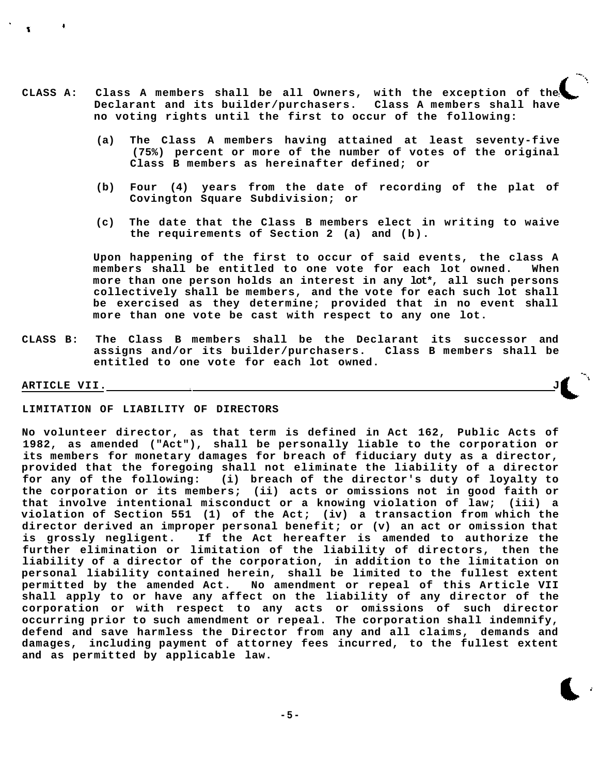- **CLASS A: Class A members shall be all Owners, with the exception of the Declarant and its builder/purchasers. Class A members shall have no voting rights until the first to occur of the following:** 
	- **(a) The Class A members having attained at least seventy-five (75%) percent or more of the number of votes of the original Class B members as hereinafter defined; or**
	- **(b) Four (4) years from the date of recording of the plat of Covington Square Subdivision; or**
	- **(c) The date that the Class B members elect in writing to waive the requirements of Section 2 (a) and (b).**

**Upon happening of the first to occur of said events, the class A members shall be entitled to one vote for each lot owned. When more than one person holds an interest in any lot\*, all such persons collectively shall be members, and the vote for each such lot shall be exercised as they determine; provided that in no event shall more than one vote be cast with respect to any one lot.** 

**CLASS B: The Class B members shall be the Declarant its successor and assigns and/or its builder/purchasers. Class B members shall be entitled to one vote for each lot owned.** 

# **ARTICLE VII.**

# **LIMITATION OF LIABILITY OF DIRECTORS**

**No volunteer director, as that term is defined in Act 162, Public Acts of 1982, as amended ("Act"), shall be personally liable to the corporation or its members for monetary damages for breach of fiduciary duty as a director, provided that the foregoing shall not eliminate the liability of a director for any of the following: (i) breach of the director's duty of loyalty to the corporation or its members; (ii) acts or omissions not in good faith or that involve intentional misconduct or a knowing violation of law; (iii) a violation of Section 551 (1) of the Act; (iv) a transaction from which the director derived an improper personal benefit; or (v) an act or omission that is grossly negligent. If the Act hereafter is amended to authorize the further elimination or limitation of the liability of directors, then the liability of a director of the corporation, in addition to the limitation on personal liability contained herein, shall be limited to the fullest extent permitted by the amended Act. No amendment or repeal of this Article VII shall apply to or have any affect on the liability of any director of the corporation or with respect to any acts or omissions of such director occurring prior to such amendment or repeal. The corporation shall indemnify, defend and save harmless the Director from any and all claims, demands and damages, including payment of attorney fees incurred, to the fullest extent and as permitted by applicable law.** 

**- 5-**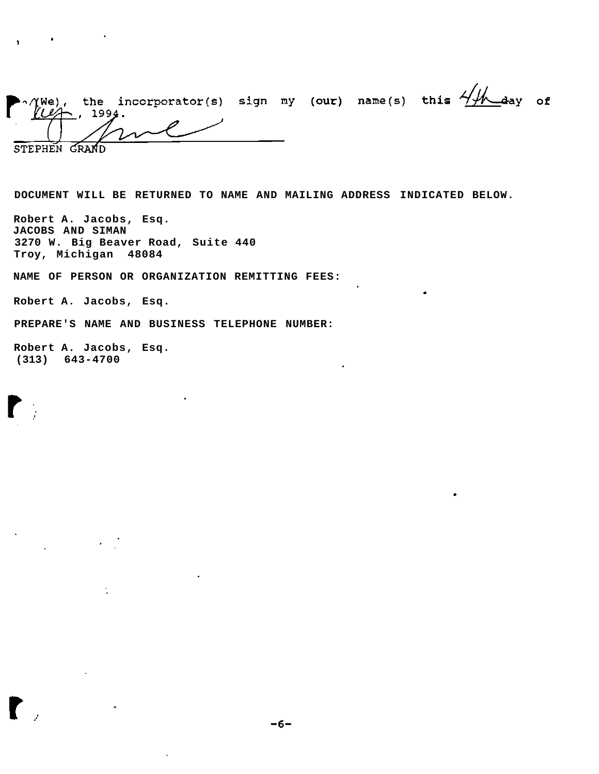| $\bigwedge_{\ell \neq j}^{N}$ | 1994. | the incorporator(s) sign my (our) name(s) this $4/4$ day of |  |  |  |
|-------------------------------|-------|-------------------------------------------------------------|--|--|--|
|                               |       | $\sqrt{122}$                                                |  |  |  |
| STEPHEN                       |       |                                                             |  |  |  |

**DOCUMENT WILL BE RETURNED TO NAME AND MAILING ADDRESS INDICATED BELOW.** 

**Robert A. Jacobs, Esq. JACOBS AND SIMAN 3270 W. Big Beaver Road, Suite 440 Troy, Michigan 48084** 

**NAME OF PERSON OR ORGANIZATION REMITTING FEES:** 

**Robert A. Jacobs, Esq.** 

 $\mathcal{L}^{\mathcal{L}}(\mathbf{A})$  and  $\mathcal{L}^{\mathcal{L}}(\mathbf{A})$  and  $\mathcal{L}^{\mathcal{L}}(\mathbf{A})$ 

**PREPARE'S NAME AND BUSINESS TELEPHONE NUMBER:** 

 $\alpha$ 

**Robert A. Jacobs, Esq. (313) 643-4700** 

 $\bullet$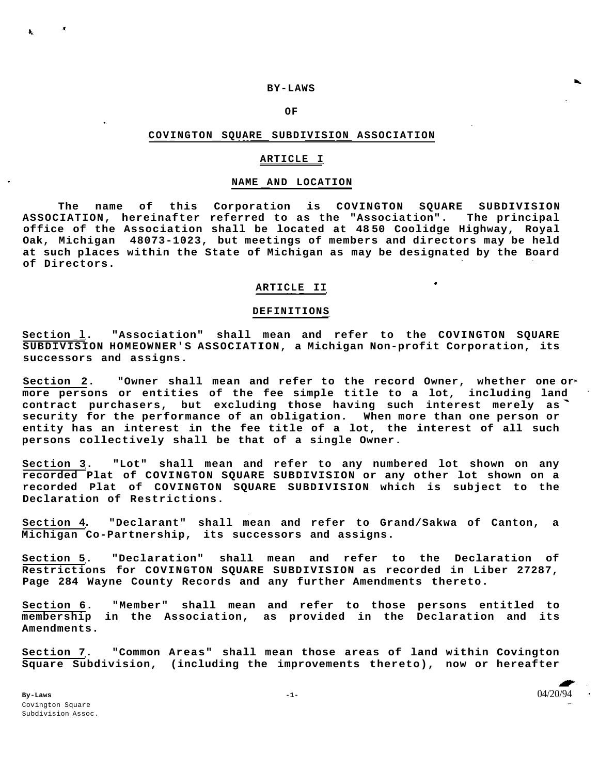## **BY-LAWS**

**OF** 

# **COVINGTON SQUARE SUBDIVISION ASSOCIATION**

## **ARTICLE I**

#### **NAME AND LOCATION**

**The name of this Corporation is COVINGTON SQUARE SUBDIVISION ASSOCIATION, hereinafter referred to as the "Association". The principal office of the Association shall be located at 48 50 Coolidge Highway, Royal Oak, Michigan 48073-1023, but meetings of members and directors may be held at such places within the State of Michigan as may be designated by the Board of Directors.** 

# **ARTICLE II**

#### **DEFINITIONS**

**Section l. "Association" shall mean and refer to the COVINGTON SQUARE SUBDIVISION HOMEOWNER'S ASSOCIATION, a Michigan Non-profit Corporation, its successors and assigns.** 

**Section 2. "Owner shall mean and refer to the record Owner, whether one or more persons or entities of the fee simple title to a lot, including land contract purchasers, but excluding those having such interest merely as security for the performance of an obligation. When more than one person or entity has an interest in the fee title of a lot, the interest of all such persons collectively shall be that of a single Owner.** 

**Section 3. "Lot" shall mean and refer to any numbered lot shown on any recorded Plat of COVINGTON SQUARE SUBDIVISION or any other lot shown on a recorded Plat of COVINGTON SQUARE SUBDIVISION which is subject to the Declaration of Restrictions.** 

**Section 4. "Declarant" shall mean and refer to Grand/Sakwa of Canton, a Michigan Co-Partnership, its successors and assigns.** 

**Section 5. "Declaration" shall mean and refer to the Declaration of Restrictions for COVINGTON SQUARE SUBDIVISION as recorded in Liber 27287, Page 284 Wayne County Records and any further Amendments thereto.** 

**Section 6. "Member" shall mean and refer to those persons entitled to membership in the Association, as provided in the Declaration and its Amendments.** 

**Section 7. "Common Areas" shall mean those areas of land within Covington Square Subdivision, (including the improvements thereto), now or hereafter**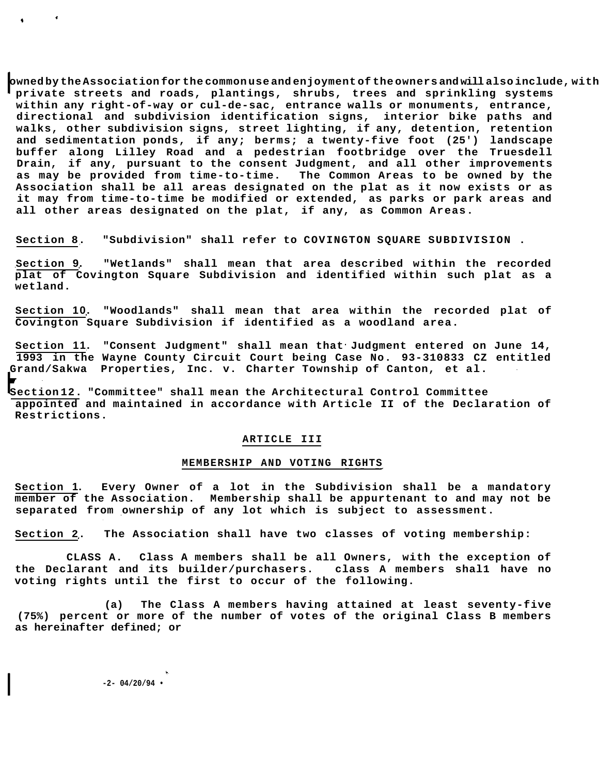**owned by the Association for the common use and enjoyment of the owners and will also include, with private streets and roads, plantings, shrubs, trees and sprinkling systems within any right-of-way or cul-de-sac, entrance walls or monuments, entrance, directional and subdivision identification signs, interior bike paths and walks, other subdivision signs, street lighting, if any, detention, retention and sedimentation ponds, if any; berms; a twenty-five foot (25') landscape buffer along Lilley Road and a pedestrian footbridge over the Truesdell Drain, if any, pursuant to the consent Judgment, and all other improvements as may be provided from time-to-time. The Common Areas to be owned by the Association shall be all areas designated on the plat as it now exists or as it may from time-to-time be modified or extended, as parks or park areas and all other areas designated on the plat, if any, as Common Areas.** 

**Section 8. "Subdivision" shall refer to COVINGTON SQUARE SUBDIVISION .** 

**Section 9. "Wetlands" shall mean that area described within the recorded plat of Covington Square Subdivision and identified within such plat as a wetland.** 

**Section 10. "Woodlands" shall mean that area within the recorded plat of Covington Square Subdivision if identified as a woodland area.** 

**Section 11. "Consent Judgment" shall mean that Judgment entered on June 14, 1993 in the Wayne County Circuit Court being Case No. 93-310833 CZ entitled Grand/Sakwa Properties, Inc. v. Charter Township of Canton, et al.** 

**Section 12. "Committee" shall mean the Architectural Control Committee appointed and maintained in accordance with Article II of the Declaration of Restrictions.** 

# **ARTICLE III**

## **MEMBERSHIP AND VOTING RIGHTS**

**Section 1. Every Owner of a lot in the Subdivision shall be a mandatory member of the Association. Membership shall be appurtenant to and may not be separated from ownership of any lot which is subject to assessment.** 

**Section 2. The Association shall have two classes of voting membership:** 

**CLASS A. Class A members shall be all Owners, with the exception of the Declarant and its builder/purchasers. class A members shal1 have no voting rights until the first to occur of the following.** 

**(a) The Class A members having attained at least seventy-five (75%) percent or more of the number of votes of the original Class B members as hereinafter defined; or** 

**-2- 04/20/94 •**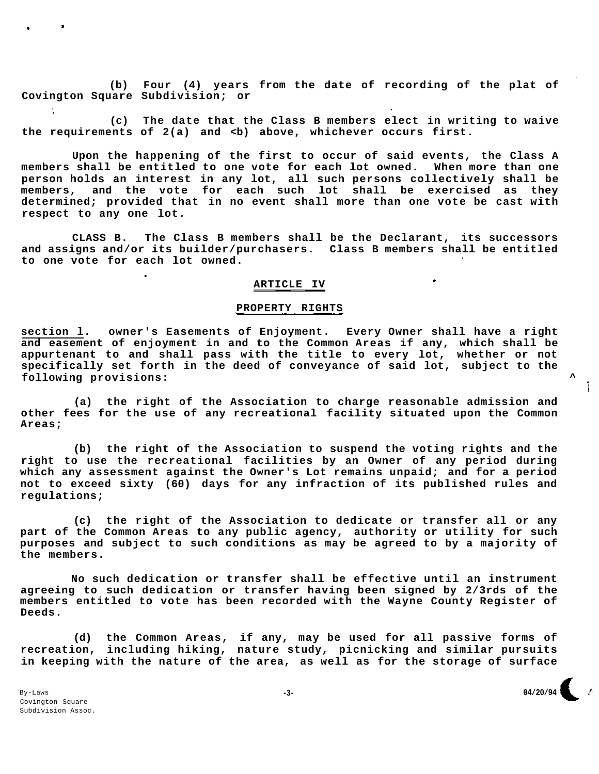**(b) Four (4) years from the date of recording of the plat of Covington Square Subdivision; or** 

**(c) The date that the Class B members elect in writing to waive the requirements of 2(a) and <b) above, whichever occurs first.** 

**Upon the happening of the first to occur of said events, the Class A members shall be entitled to one vote for each lot owned. When more than one person holds an interest in any lot, all such persons collectively shall be members, and the vote for each such lot shall be exercised as they determined; provided that in no event shall more than one vote be cast with respect to any one lot.** 

**CLASS B. The Class B members shall be the Declarant, its successors and assigns and/or its builder/purchasers. Class B members shall be entitled to one vote for each lot owned.** 

# **ARTICLE IV**

# PROPERTY RIGHTS

**section l. owner's Easements of Enjoyment. Every Owner shall have a right and easement of enjoyment in and to the Common Areas if any, which shall be appurtenant to and shall pass with the title to every lot, whether or not specifically set forth in the deed of conveyance of said lot, subject to the following provisions: ^** 

**(a) the right of the Association to charge reasonable admission and other fees for the use of any recreational facility situated upon the Common Areas;** 

**(b) the right of the Association to suspend the voting rights and the right to use the recreational facilities by an Owner of any period during which any assessment against the Owner's Lot remains unpaid; and for a period not to exceed sixty (60) days for any infraction of its published rules and regulations;** 

**(c) the right of the Association to dedicate or transfer all or any part of the Common Areas to any public agency, authority or utility for such purposes and subject to such conditions as may be agreed to by a majority of the members.** 

**No such dedication or transfer shall be effective until an instrument agreeing to such dedication or transfer having been signed by 2/3rds of the members entitled to vote has been recorded with the Wayne County Register of Deeds.** 

**(d) the Common Areas, if any, may be used for all passive forms of recreation, including hiking, nature study, picnicking and similar pursuits in keeping with the nature of the area, as well as for the storage of surface** 

÷.

÷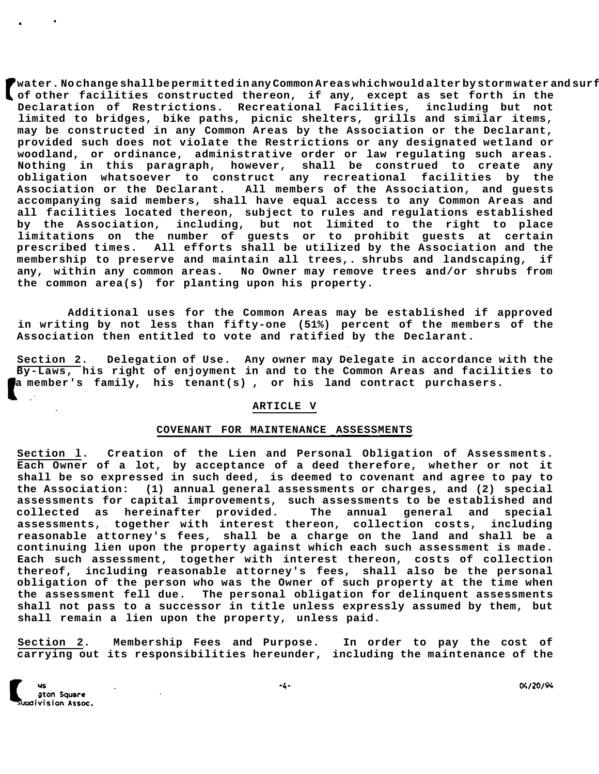$\prime$ water.No change shall be permitted in any Common Areas which would alter by storm water and surf **of other facilities constructed thereon, if any, except as set forth in the Declaration of Restrictions. Recreational Facilities, including but not limited to bridges, bike paths, picnic shelters, grills and similar items, may be constructed in any Common Areas by the Association or the Declarant, provided such does not violate the Restrictions or any designated wetland or woodland, or ordinance, administrative order or law regulating such areas. Nothing in this paragraph, however, shall be construed to create any obligation whatsoever to construct any recreational facilities by the Association or the Declarant. All members of the Association, and guests accompanying said members, shall have equal access to any Common Areas and all facilities located thereon, subject to rules and regulations established by the Association, including, but not limited to the right to place limitations on the number of guests or to prohibit guests at certain prescribed times. All efforts shall be utilized by the Association and the membership to preserve and maintain all trees,. shrubs and landscaping, if any, within any common areas. No Owner may remove trees and/or shrubs from the common area(s) for planting upon his property.** 

**Additional uses for the Common Areas may be established if approved in writing by not less than fifty-one (51%) percent of the members of the Association then entitled to vote and ratified by the Declarant.** 

**Section 2. Delegation of Use. Any owner may Delegate in accordance with the By-Laws, his right of enjoyment in and to the Common Areas and facilities to a member's family, his tenant(s) , or his land contract purchasers.** 

#### **ARTICLE V**

# **COVENANT FOR MAINTENANCE ASSESSMENTS**

**Section l. Creation of the Lien and Personal Obligation of Assessments. Each Owner of a lot, by acceptance of a deed therefore, whether or not it shall be so expressed in such deed, is deemed to covenant and agree to pay to the Association: (1) annual general assessments or charges, and (2) special assessments for capital improvements, such assessments to be established and collected as hereinafter provided. The annual general and special assessments, together with interest thereon, collection costs, including reasonable attorney's fees, shall be a charge on the land and shall be a continuing lien upon the property against which each such assessment is made. Each such assessment, together with interest thereon, costs of collection thereof, including reasonable attorney's fees, shall also be the personal obligation of the person who was the Owner of such property at the time when the assessment fell due. The personal obligation for delinquent assessments shall not pass to a successor in title unless expressly assumed by them, but shall remain a lien upon the property, unless paid.** 

**Section 2. Membership Fees and Purpose. In order to pay the cost of carrying out its responsibilities hereunder, including the maintenance of the** 

04/20/94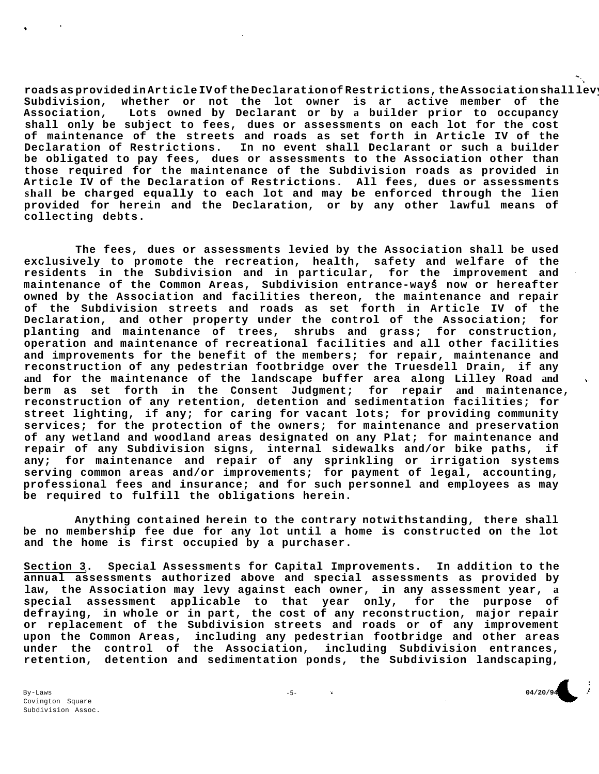**roads as provided in Article IV of the Declaration of Restrictions, the Association shall levy fees, dues or assessments on each lot in the Subdivision, whether or not the lot owner is ar active member of the Association, Lots owned by Declarant or by a builder prior to occupancy shall only be subject to fees, dues or assessments on each lot for the cost of maintenance of the streets and roads as set forth in Article IV of the Declaration of Restrictions. In no event shall Declarant or such a builder be obligated to pay fees, dues or assessments to the Association other than those required for the maintenance of the Subdivision roads as provided in Article IV of the Declaration of Restrictions. All fees, dues or assessments shall be charged equally to each lot and may be enforced through the lien provided for herein and the Declaration, or by any other lawful means of collecting debts.** 

**The fees, dues or assessments levied by the Association shall be used exclusively to promote the recreation, health, safety and welfare of the residents in the Subdivision and in particular, for the improvement and maintenance of the Common Areas, Subdivision entrance-ways now or hereafter owned by the Association and facilities thereon, the maintenance and repair of the Subdivision streets and roads as set forth in Article IV of the Declaration, and other property under the control of the Association; for planting and maintenance of trees, shrubs and grass; for construction, operation and maintenance of recreational facilities and all other facilities and improvements for the benefit of the members; for repair, maintenance and reconstruction of any pedestrian footbridge over the Truesdell Drain, if any and for the maintenance of the landscape buffer area along Lilley Road and berm as set forth in the Consent Judgment; for repair and maintenance, reconstruction of any retention, detention and sedimentation facilities; for street lighting, if any; for caring for vacant lots; for providing community services; for the protection of the owners; for maintenance and preservation of any wetland and woodland areas designated on any Plat; for maintenance and repair of any Subdivision signs, internal sidewalks and/or bike paths, if any; for maintenance and repair of any sprinkling or irrigation systems serving common areas and/or improvements; for payment of legal, accounting, professional fees and insurance; and for such personnel and employees as may be required to fulfill the obligations herein.** 

**Anything contained herein to the contrary notwithstanding, there shall be no membership fee due for any lot until a home is constructed on the lot and the home is first occupied by a purchaser.** 

**Section 3. Special Assessments for Capital Improvements. In addition to the annual assessments authorized above and special assessments as provided by law, the Association may levy against each owner, in any assessment year, a special assessment applicable to that year only, for the purpose of defraying, in whole or in part, the cost of any reconstruction, major repair or replacement of the Subdivision streets and roads or of any improvement upon the Common Areas, including any pedestrian footbridge and other areas under the control of the Association, including Subdivision entrances, retention, detention and sedimentation ponds, the Subdivision landscaping,** 

By-Laws Covington Square Subdivision Assoc. -5- **04/20/94**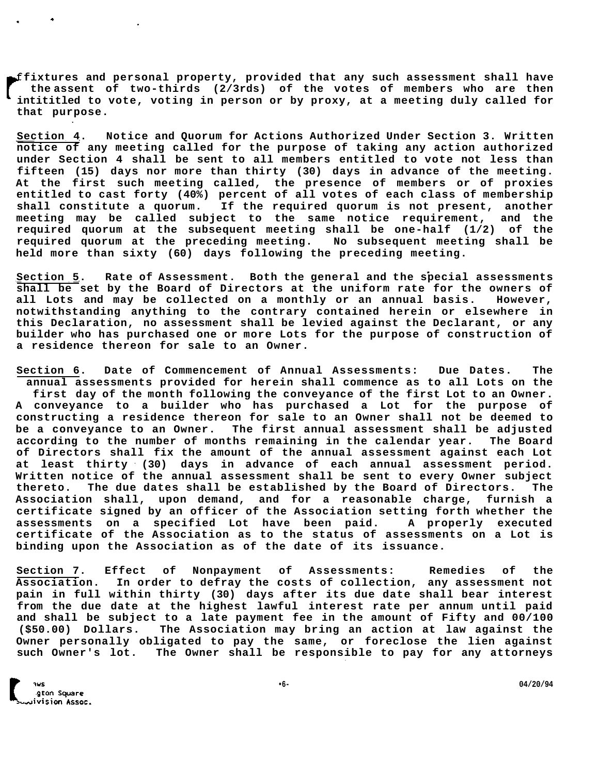**fixtures and personal property, provided that any such assessment shall have the assent of two-thirds (2/3rds) of the votes of members who are then intititled to vote, voting in person or by proxy, at a meeting duly called for that purpose.** 

**Section 4. Notice and Quorum for Actions Authorized Under Section 3. Written notice of any meeting called for the purpose of taking any action authorized under Section 4 shall be sent to all members entitled to vote not less than fifteen (15) days nor more than thirty (30) days in advance of the meeting. At the first such meeting called, the presence of members or of proxies entitled to cast forty (40%) percent of all votes of each class of membership shall constitute a quorum. If the required quorum is not present, another meeting may be called subject to the same notice requirement, and the required quorum at the subsequent meeting shall be one-half (1/2) of the required quorum at the preceding meeting. No subsequent meeting shall be held more than sixty (60) days following the preceding meeting.** 

**Section 5. Rate of Assessment. Both the general and the special assessments shall be set by the Board of Directors at the uniform rate for the owners of all Lots and may be collected on a monthly or an annual basis. However, notwithstanding anything to the contrary contained herein or elsewhere in this Declaration, no assessment shall be levied against the Declarant, or any builder who has purchased one or more Lots for the purpose of construction of a residence thereon for sale to an Owner.** 

**Section 6. Date of Commencement of Annual Assessments: Due Dates. The annual assessments provided for herein shall commence as to all Lots on the first day of the month following the conveyance of the first Lot to an Owner. A conveyance to a builder who has purchased a Lot for the purpose of constructing a residence thereon for sale to an Owner shall not be deemed to be a conveyance to an Owner. The first annual assessment shall be adjusted according to the number of months remaining in the calendar year. The Board of Directors shall fix the amount of the annual assessment against each Lot at least thirty (30) days in advance of each annual assessment period. Written notice of the annual assessment shall be sent to every Owner subject thereto. The due dates shall be established by the Board of Directors. The Association shall, upon demand, and for a reasonable charge, furnish a certificate signed by an officer of the Association setting forth whether the assessments on a specified Lot have been paid. A properly executed certificate of the Association as to the status of assessments on a Lot is binding upon the Association as of the date of its issuance.** 

**Section 7. Effect of Nonpayment of Assessments: Remedies of the Association. In order to defray the costs of collection, any assessment not pain in full within thirty (30) days after its due date shall bear interest from the due date at the highest lawful interest rate per annum until paid and shall be subject to a late payment fee in the amount of Fifty and 00/100 (\$50.00) Dollars. The Association may bring an action at law against the Owner personally obligated to pay the same, or foreclose the lien against such Owner's lot. The Owner shall be responsible to pay for any attorneys**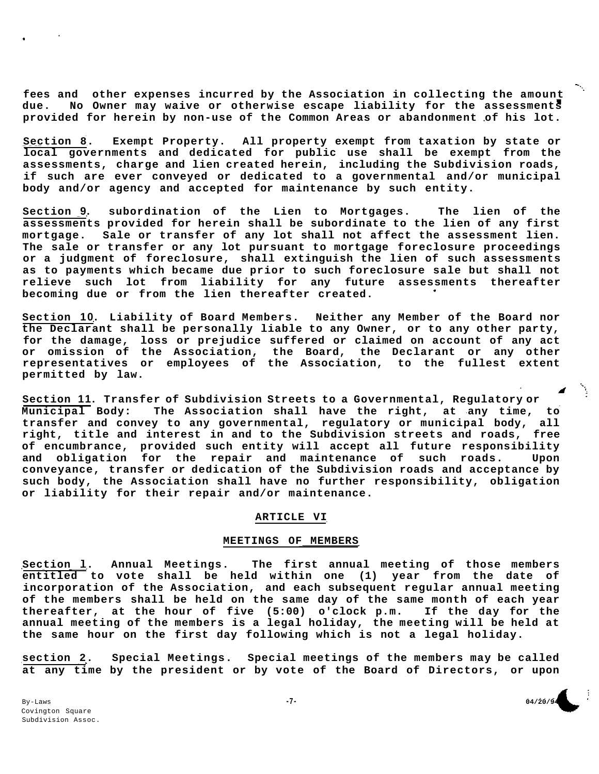**fees and other expenses incurred by the Association in collecting the amount due. No Owner may waive or otherwise escape liability for the assessments provided for herein by non-use of the Common Areas or abandonment of his lot.** 

**Section 8. Exempt Property. All property exempt from taxation by state or local governments and dedicated for public use shall be exempt from the assessments, charge and lien created herein, including the Subdivision roads, if such are ever conveyed or dedicated to a governmental and/or municipal body and/or agency and accepted for maintenance by such entity.** 

**Section 9. subordination of the Lien to Mortgages. The lien of the assessments provided for herein shall be subordinate to the lien of any first mortgage. Sale or transfer of any lot shall not affect the assessment lien. The sale or transfer or any lot pursuant to mortgage foreclosure proceedings or a judgment of foreclosure, shall extinguish the lien of such assessments as to payments which became due prior to such foreclosure sale but shall not relieve such lot from liability for any future assessments thereafter becoming due or from the lien thereafter created.** 

**Section 10. Liability of Board Members. Neither any Member of the Board nor the Declarant shall be personally liable to any Owner, or to any other party, for the damage, loss or prejudice suffered or claimed on account of any act or omission of the Association, the Board, the Declarant or any other representatives or employees of the Association, to the fullest extent permitted by law.** 

**Section 11. Transfer of Subdivision Streets to a Governmental, Regulatory or Municipal Body: The Association shall have the right, at any time, to transfer and convey to any governmental, regulatory or municipal body, all right, title and interest in and to the Subdivision streets and roads, free of encumbrance, provided such entity will accept all future responsibility and obligation for the repair and maintenance of such roads. Upon conveyance, transfer or dedication of the Subdivision roads and acceptance by such body, the Association shall have no further responsibility, obligation or liability for their repair and/or maintenance.** 

## **ARTICLE VI**

## **MEETINGS OF MEMBERS**

**Section l. Annual Meetings. The first annual meeting of those members entitled to vote shall be held within one (1) year from the date of incorporation of the Association, and each subsequent regular annual meeting of the members shall be held on the same day of the same month of each year thereafter, at the hour of five (5:00) o'clock p.m. If the day for the annual meeting of the members is a legal holiday, the meeting will be held at the same hour on the first day following which is not a legal holiday.** 

**section 2. Special Meetings. Special meetings of the members may be called at any time by the president or by vote of the Board of Directors, or upon** 

**\*** 

**-7- 04/20/94** 

 $\mathbb{Z}^2$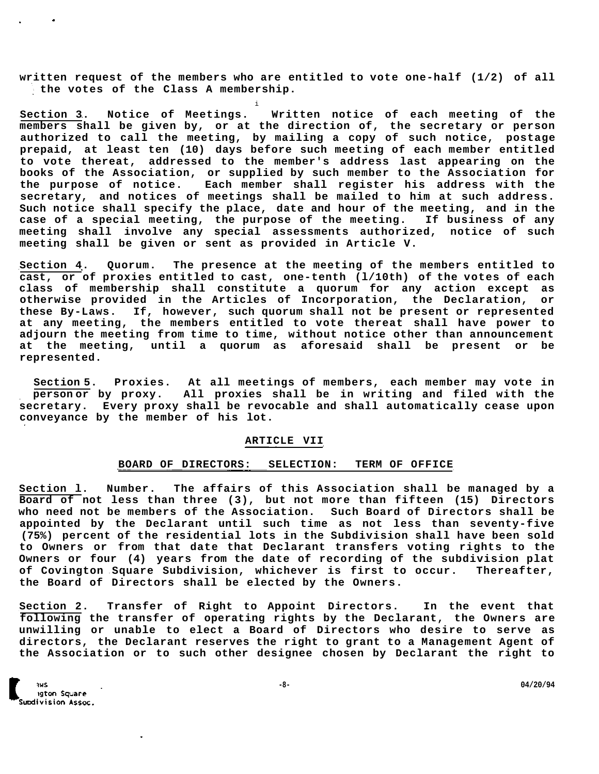**written request of the members who are entitled to vote one-half (1/2) of all the votes of the Class A membership.** 

i

**Section 3. Notice of Meetings. Written notice of each meeting of the members shall be given by, or at the direction of, the secretary or person authorized to call the meeting, by mailing a copy of such notice, postage prepaid, at least ten (10) days before such meeting of each member entitled to vote thereat, addressed to the member's address last appearing on the books of the Association, or supplied by such member to the Association for the purpose of notice. Each member shall register his address with the secretary, and notices of meetings shall be mailed to him at such address. Such notice shall specify the place, date and hour of the meeting, and in the case of a special meeting, the purpose of the meeting. If business of any meeting shall involve any special assessments authorized, notice of such meeting shall be given or sent as provided in Article V.** 

**Section 4. Quorum. The presence at the meeting of the members entitled to cast, or of proxies entitled to cast, one-tenth (l/10th) of the votes of each class of membership shall constitute a quorum for any action except as otherwise provided in the Articles of Incorporation, the Declaration, or these By-Laws. If, however, such quorum shall not be present or represented at any meeting, the members entitled to vote thereat shall have power to adjourn the meeting from time to time, without notice other than announcement at the meeting, until a quorum as aforesaid shall be present or be represented.** 

**Section 5. Proxies. At all meetings of members, each member may vote in person or by proxy. All proxies shall be in writing and filed with the secretary. Every proxy shall be revocable and shall automatically cease upon conveyance by the member of his lot.** 

# **ARTICLE VII**

#### **BOARD OF DIRECTORS: SELECTION: TERM OF OFFICE**

**Section l. Number. The affairs of this Association shall be managed by a Board of not less than three (3), but not more than fifteen (15) Directors who need not be members of the Association. Such Board of Directors shall be appointed by the Declarant until such time as not less than seventy-five (75%) percent of the residential lots in the Subdivision shall have been sold to Owners or from that date that Declarant transfers voting rights to the Owners or four (4) years from the date of recording of the subdivision plat of Covington Square Subdivision, whichever is first to occur. Thereafter, the Board of Directors shall be elected by the Owners.** 

**Section 2. Transfer of Right to Appoint Directors. In the event that following the transfer of operating rights by the Declarant, the Owners are unwilling or unable to elect a Board of Directors who desire to serve as directors, the Declarant reserves the right to grant to a Management Agent of the Association or to such other designee chosen by Declarant the right to**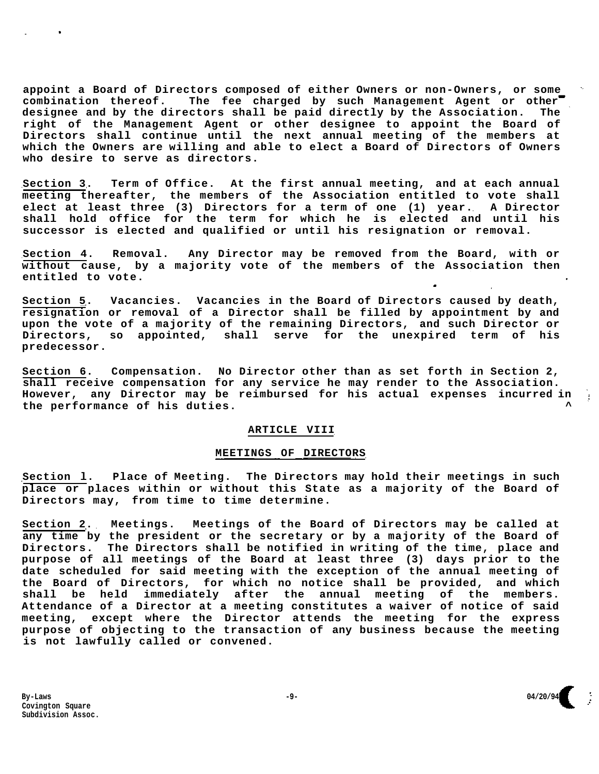**appoint a Board of Directors composed of either Owners or non-Owners, or some combination thereof. The fee charged by such Management Agent or other designee and by the directors shall be paid directly by the Association. The right of the Management Agent or other designee to appoint the Board of Directors shall continue until the next annual meeting of the members at which the Owners are willing and able to elect a Board of Directors of Owners who desire to serve as directors.** 

**Section 3. Term of Office. At the first annual meeting, and at each annual meeting thereafter, the members of the Association entitled to vote shall elect at least three (3) Directors for a term of one (1) year. A Director shall hold office for the term for which he is elected and until his successor is elected and qualified or until his resignation or removal.** 

**Section 4. Removal. Any Director may be removed from the Board, with or without cause, by a majority vote of the members of the Association then entitled to vote.** 

**Section 5. Vacancies. Vacancies in the Board of Directors caused by death, resignation or removal of a Director shall be filled by appointment by and upon the vote of a majority of the remaining Directors, and such Director or Directors, so appointed, shall serve for the unexpired term of his predecessor.** 

**Section 6. Compensation. No Director other than as set forth in Section 2, shall receive compensation for any service he may render to the Association. However, any Director may be reimbursed for his actual expenses incurred in the performance of his duties. ^** 

## **ARTICLE VIII**

## **MEETINGS OF DIRECTORS**

**Section l. Place of Meeting. The Directors may hold their meetings in such place or places within or without this State as a majority of the Board of Directors may, from time to time determine.** 

**Section 2. Meetings. Meetings of the Board of Directors may be called at any time by the president or the secretary or by a majority of the Board of Directors. The Directors shall be notified in writing of the time, place and purpose of all meetings of the Board at least three (3) days prior to the date scheduled for said meeting with the exception of the annual meeting of the Board of Directors, for which no notice shall be provided, and which shall be held immediately after the annual meeting of the members. Attendance of a Director at a meeting constitutes a waiver of notice of said meeting, except where the Director attends the meeting for the express purpose of objecting to the transaction of any business because the meeting is not lawfully called or convened.** 

**-**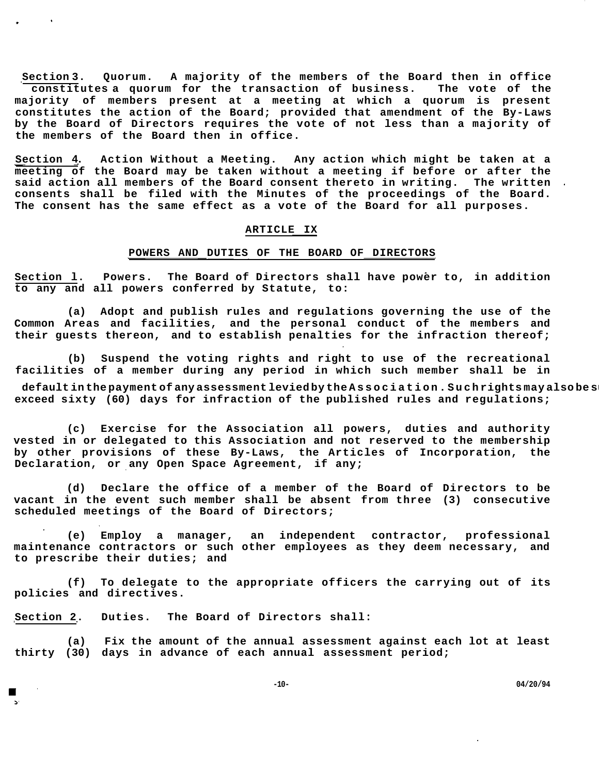**Section 3. Quorum. A majority of the members of the Board then in office constitutes a quorum for the transaction of business. The vote of the majority of members present at a meeting at which a quorum is present constitutes the action of the Board; provided that amendment of the By-Laws by the Board of Directors requires the vote of not less than a majority of the members of the Board then in office.** 

**Section 4. Action Without a Meeting. Any action which might be taken at a meeting of the Board may be taken without a meeting if before or after the said action all members of the Board consent thereto in writing. The written consents shall be filed with the Minutes of the proceedings of the Board. The consent has the same effect as a vote of the Board for all purposes.** 

# **ARTICLE IX**

# **POWERS AND DUTIES OF THE BOARD OF DIRECTORS**

**Section l. Powers. The Board of Directors shall have power to, in addition to any and all powers conferred by Statute, to:** 

**(a) Adopt and publish rules and regulations governing the use of the Common Areas and facilities, and the personal conduct of the members and their guests thereon, and to establish penalties for the infraction thereof;** 

**(b) Suspend the voting rights and right to use of the recreational facilities of a member during any period in which such member shall be in** 

default in the payment of any assessment levied by the Association. Suchrights may also be s **exceed sixty (60) days for infraction of the published rules and regulations;** 

**(c) Exercise for the Association all powers, duties and authority vested in or delegated to this Association and not reserved to the membership by other provisions of these By-Laws, the Articles of Incorporation, the Declaration, or any Open Space Agreement, if any;** 

**(d) Declare the office of a member of the Board of Directors to be vacant in the event such member shall be absent from three (3) consecutive scheduled meetings of the Board of Directors;** 

**(e) Employ a manager, an independent contractor, professional maintenance contractors or such other employees as they deem necessary, and to prescribe their duties; and** 

**(f) To delegate to the appropriate officers the carrying out of its policies and directives.** 

**Section 2. Duties. The Board of Directors shall:** 

**(a) Fix the amount of the annual assessment against each lot at least thirty (30) days in advance of each annual assessment period;** 

**-10- 04/20/94**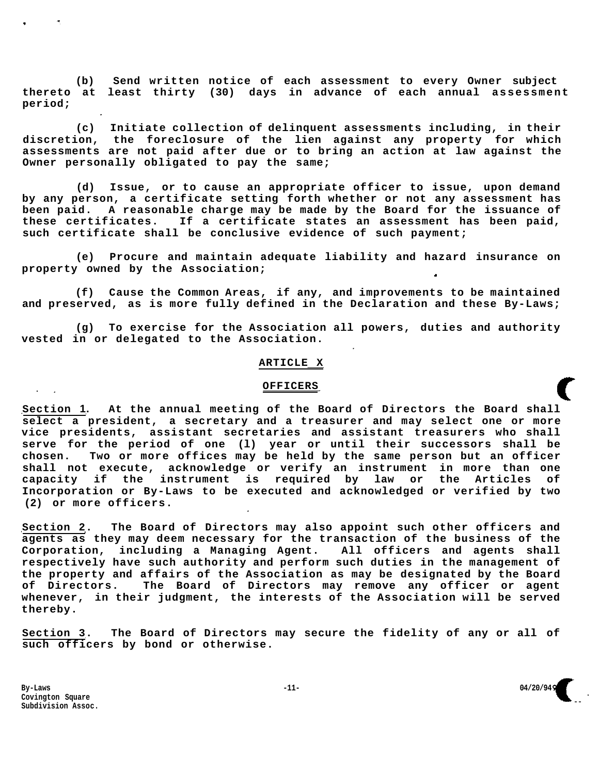**(b) Send written notice of each assessment to every Owner subject thereto at least thirty (30) days in advance of each annual assessment period;** 

**(c) Initiate collection of delinquent assessments including, in their discretion, the foreclosure of the lien against any property for which assessments are not paid after due or to bring an action at law against the Owner personally obligated to pay the same;** 

**(d) Issue, or to cause an appropriate officer to issue, upon demand by any person, a certificate setting forth whether or not any assessment has been paid. A reasonable charge may be made by the Board for the issuance of these certificates. If a certificate states an assessment has been paid, such certificate shall be conclusive evidence of such payment;** 

**(e) Procure and maintain adequate liability and hazard insurance on property owned by the Association;**   $\bullet$ 

**(f) Cause the Common Areas, if any, and improvements to be maintained and preserved, as is more fully defined in the Declaration and these By-Laws;** 

**(g) To exercise for the Association all powers, duties and authority vested in or delegated to the Association.** 

#### **ARTICLE X**

# **OFFICERS**

**Section 1. At the annual meeting of the Board of Directors the Board shall select a president, a secretary and a treasurer and may select one or more vice presidents, assistant secretaries and assistant treasurers who shall serve for the period of one (l) year or until their successors shall be chosen. Two or more offices may be held by the same person but an officer shall not execute, acknowledge or verify an instrument in more than one capacity if the instrument is required by law or the Articles of Incorporation or By-Laws to be executed and acknowledged or verified by two (2) or more officers.** 

**Section 2. The Board of Directors may also appoint such other officers and agents as they may deem necessary for the transaction of the business of the Corporation, including a Managing Agent. All officers and agents shall respectively have such authority and perform such duties in the management of the property and affairs of the Association as may be designated by the Board of Directors. The Board of Directors may remove any officer or agent whenever, in their judgment, the interests of the Association will be served thereby.** 

**Section 3. The Board of Directors may secure the fidelity of any or all of such officers by bond or otherwise.** 

**By-Laws -11- 04/20/94 Covington Square Subdivision Assoc.** 

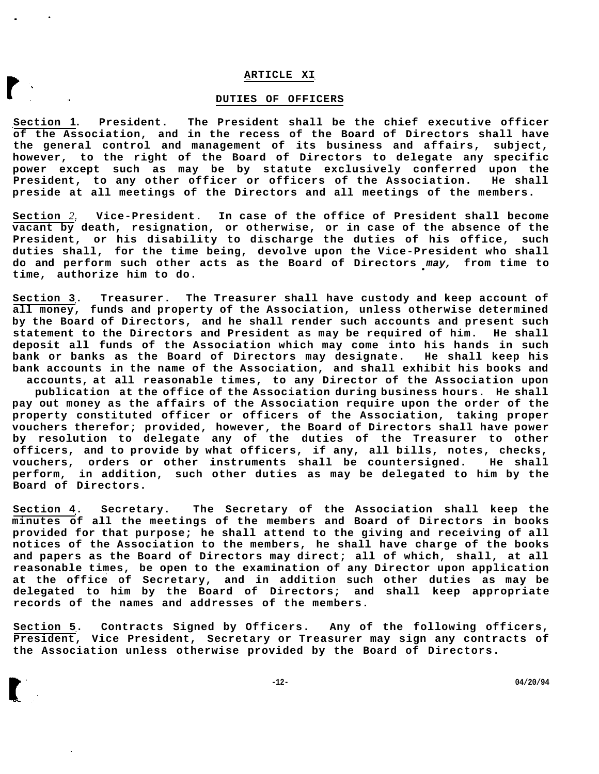#### **ARTICLE XI**

#### **DUTIES OF OFFICERS**

**Section 1. President. The President shall be the chief executive officer of the Association, and in the recess of the Board of Directors shall have the general control and management of its business and affairs, subject, however, to the right of the Board of Directors to delegate any specific power except such as may be by statute exclusively conferred upon the President, to any other officer or officers of the Association. He shall preside at all meetings of the Directors and all meetings of the members.** 

**Section** *2.* **Vice-President. In case of the office of President shall become vacant by death, resignation, or otherwise, or in case of the absence of the President, or his disability to discharge the duties of his office, such duties shall, for the time being, devolve upon the Vice-President who shall do and perform such other acts as the Board of Directors may, from time to time, authorize him to do.** 

**Section 3. Treasurer. The Treasurer shall have custody and keep account of all money, funds and property of the Association, unless otherwise determined by the Board of Directors, and he shall render such accounts and present such statement to the Directors and President as may be required of him. He shall deposit all funds of the Association which may come into his hands in such bank or banks as the Board of Directors may designate. He shall keep his bank accounts in the name of the Association, and shall exhibit his books and** 

**accounts, at all reasonable times, to any Director of the Association upon publication at the office of the Association during business hours. He shall pay out money as the affairs of the Association require upon the order of the property constituted officer or officers of the Association, taking proper vouchers therefor; provided, however, the Board of Directors shall have power by resolution to delegate any of the duties of the Treasurer to other officers, and to provide by what officers, if any, all bills, notes, checks, vouchers, orders or other instruments shall be countersigned. He shall perform, in addition, such other duties as may be delegated to him by the Board of Directors.** 

**Section 4. Secretary. The Secretary of the Association shall keep the minutes of all the meetings of the members and Board of Directors in books provided for that purpose; he shall attend to the giving and receiving of all notices of the Association to the members, he shall have charge of the books and papers as the Board of Directors may direct; all of which, shall, at all reasonable times, be open to the examination of any Director upon application at the office of Secretary, and in addition such other duties as may be delegated to him by the Board of Directors; and shall keep appropriate records of the names and addresses of the members.** 

**Section 5. Contracts Signed by Officers. Any of the following officers, President, Vice President, Secretary or Treasurer may sign any contracts of the Association unless otherwise provided by the Board of Directors.** 

**-12- 04/20/94**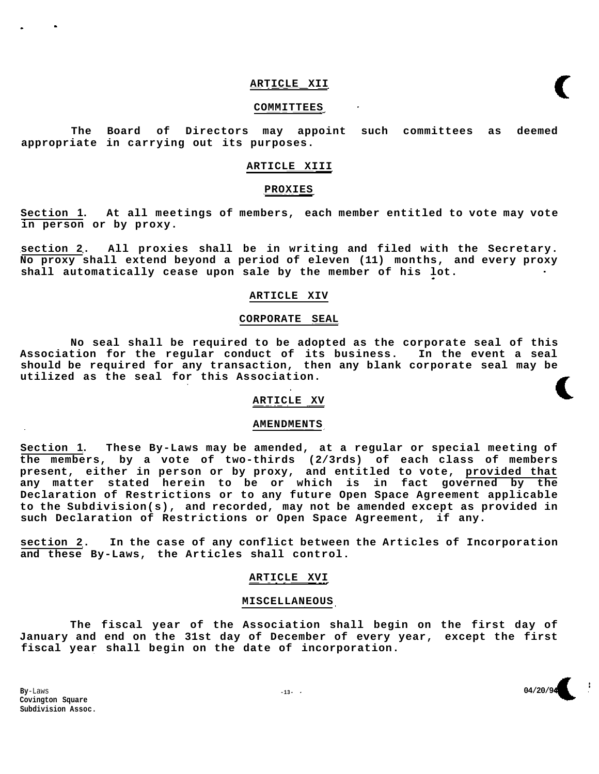#### **ARTICLE XII**

#### **COMMITTEES**

**The Board of Directors may appoint such committees as deemed appropriate in carrying out its purposes.** 

# **ARTICLE XIII**

#### **PROXIES**

**Section 1. At all meetings of members, each member entitled to vote may vote in person or by proxy.** 

**section 2. All proxies shall be in writing and filed with the Secretary. No proxy shall extend beyond a period of eleven (11) months, and every proxy shall automatically cease upon sale by the member of his lot.** 

## **ARTICLE XIV**

# **CORPORATE SEAL**

**No seal shall be required to be adopted as the corporate seal of this Association for the regular conduct of its business. In the event a seal should be required for any transaction, then any blank corporate seal may be utilized as the seal for this Association.** 

# **ARTICLE XV**

#### **AMENDMENTS**

**Section 1. These By-Laws may be amended, at a regular or special meeting of the members, by a vote of two-thirds (2/3rds) of each class of members present, either in person or by proxy, and entitled to vote, provided that any matter stated herein to be or which is in fact governed by the Declaration of Restrictions or to any future Open Space Agreement applicable to the Subdivision(s), and recorded, may not be amended except as provided in such Declaration of Restrictions or Open Space Agreement, if any.** 

**section 2. In the case of any conflict between the Articles of Incorporation and these By-Laws, the Articles shall control.** 

#### **ARTICLE XVI**

# **MISCELLANEOUS**

**The fiscal year of the Association shall begin on the first day of January and end on the 31st day of December of every year, except the first fiscal year shall begin on the date of incorporation.** 

**By**-Laws **Covington Square Subdivision Assoc.** 

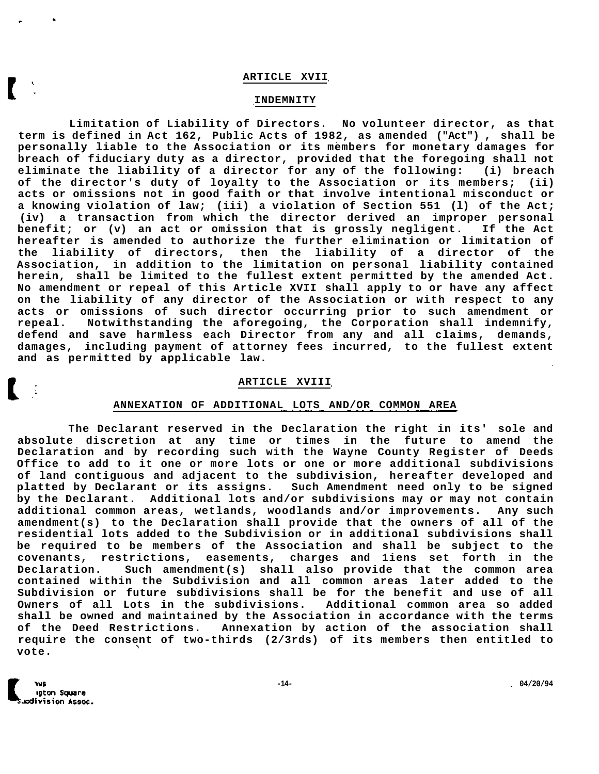#### **ARTICLE XVII**

# **INDEMNITY**

**Limitation of Liability of Directors. No volunteer director, as that term is defined in Act 162, Public Acts of 1982, as amended ("Act") , shall be personally liable to the Association or its members for monetary damages for breach of fiduciary duty as a director, provided that the foregoing shall not eliminate the liability of a director for any of the following: (i) breach of the director's duty of loyalty to the Association or its members; (ii) acts or omissions not in good faith or that involve intentional misconduct or a knowing violation of law; (iii) a violation of Section 551 (l) of the Act; (iv) a transaction from which the director derived an improper personal benefit; or (v) an act or omission that is grossly negligent. If the Act hereafter is amended to authorize the further elimination or limitation of the liability of directors, then the liability of a director of the Association, in addition to the limitation on personal liability contained herein, shall be limited to the fullest extent permitted by the amended Act. No amendment or repeal of this Article XVII shall apply to or have any affect on the liability of any director of the Association or with respect to any acts or omissions of such director occurring prior to such amendment or repeal. Notwithstanding the aforegoing, the Corporation shall indemnify, defend and save harmless each Director from any and all claims, demands, damages, including payment of attorney fees incurred, to the fullest extent and as permitted by applicable law.** 

#### **ARTICLE XVIII**

#### **ANNEXATION OF ADDITIONAL LOTS AND/OR COMMON AREA**

**The Declarant reserved in the Declaration the right in its' sole and absolute discretion at any time or times in the future to amend the Declaration and by recording such with the Wayne County Register of Deeds Office to add to it one or more lots or one or more additional subdivisions of land contiguous and adjacent to the subdivision, hereafter developed and platted by Declarant or its assigns. Such Amendment need only to be signed by the Declarant. Additional lots and/or subdivisions may or may not contain additional common areas, wetlands, woodlands and/or improvements. Any such amendment(s) to the Declaration shall provide that the owners of all of the residential lots added to the Subdivision or in additional subdivisions shall be required to be members of the Association and shall be subject to the covenants, restrictions, easements, charges and 1iens set forth in the Declaration. Such amendment(s) shall also provide that the common area contained within the Subdivision and all common areas later added to the Subdivision or future subdivisions shall be for the benefit and use of all Owners of all Lots in the subdivisions. Additional common area so added shall be owned and maintained by the Association in accordance with the terms of the Deed Restrictions. Annexation by action of the association shall require the consent of two-thirds (2/3rds) of its members then entitled to vote.**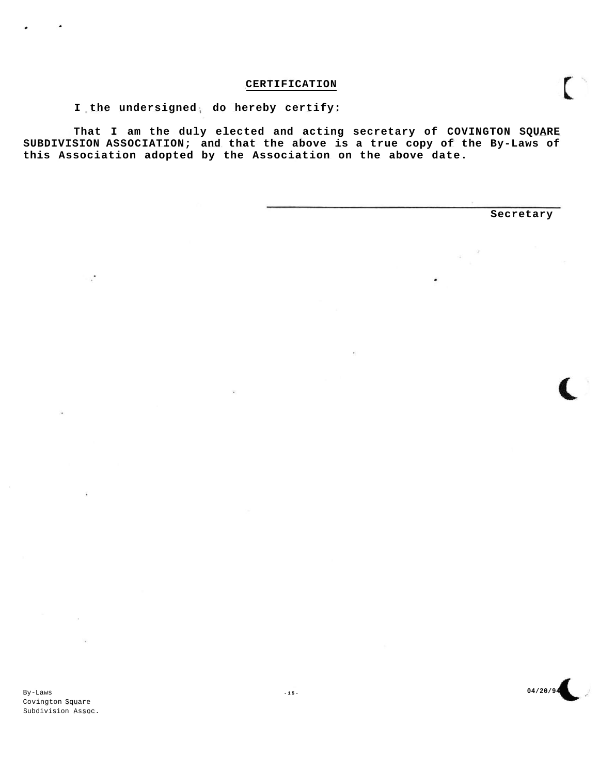# **CERTIFICATION**

I the undersigned, do hereby certify:

**That I am the duly elected and acting secretary of COVINGTON SQUARE SUBDIVISION ASSOCIATION; and that the above is a true copy of the By-Laws of this Association adopted by the Association on the above date.** 

**Secretary** 

By-Laws Covington Square Subdivision Assoc.

 $\ddot{\phantom{a}}$ 

**-15 - 04/20/94**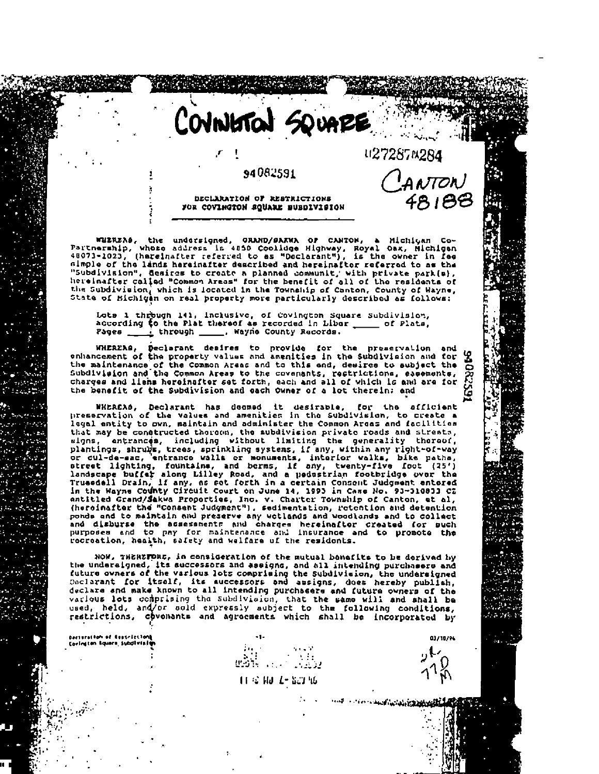COVINISTON SQUARE u27287N284

# 94082591

DECLARATION OF RESTRICTIONS FOR COVINGTON SQUARE BUBDIVISION

WHEREAS, the undersigned, GRAND/SAKWA OF CANTON, a Michigan Co-<br>Partnership, whose address is 4850 Coolluge Highway, Royal Oax, Hichigan<br>48073-1023, (hereinafter referred to as "Declarant"), is the owner in fee almple of the lands hereinafter described and hereinafter referred to as the "Subdivision", desires to create a planned communit, with private park(s), hereinafter called "Common Areas" for the benefit of all of the residents of the Subdivision, which is located in the Township of Canton, County of Wayne,<br>State of Michigan on real property more particularly described as follows:

Lots 1 through 141, inclusive, of Covington Square Subdivision, according to the Plat thereof as recorded in Liber \_\_\_\_\_\_ of Plats, Pages  $\pm$  through  $\_\_\_\$ , Wayne County Records.

WHEREAS, Declarant desires to provide for the preservation and<br>enhancement of the property values and amenities in the Subdivision and for<br>the maintenance of the Common Areas and to this and, desire to subject the<br>Subdivis charges and liens hereinsfter set forth, each and all of which is and are for the benefit of the Subdivision and each Owner of a lot therein: and

WHEREAS, Declarant has doomed it desirable, for the afficient<br>preservation of the values and amenities in the Subdivision, to create a legal entity to own, maintain and administer the Common Areas and facilities that may be constructed thoroon, the subdivision private roads and streets, that may be constructed thoroch, the subdivision private roads and strests,<br>signs, antrances, including without limiting the generality thoroof,<br>plantings, shrups trees, sprinkling systems, if any, within any right-of-way<br> (heroinafter the "Consent Judgment"), sedimentation, retention and detention ponds and to maintain and preserve any wotlands and woodlands and to collact and disburse the assessments and charges hereinafter created for such<br>purposes and to pay for maintenance and insurance and to promote the<br>recreation, health, safety and walfare of the residents.

NOW, THEREFORE, in consideration of the mutual bonefits to be dorived by the undersigned, its successors and assigns, and all intending purchasers and the undersigned, its successors and assigns, and all intending purchasers and discussions and turns of the various lots comprising the Subdivisi various lots comprising the subdivision, that the same will and shall be used, held, and/or sold expressly subject to the following conditions, restrictions, covenants and agreements which shall be incorporated by

bacturation of iteracialism)<br>Covington Aquare Subdivisit

11 S 10 1-10 16

was a communication of the communication

03/10/94

CANTON

48188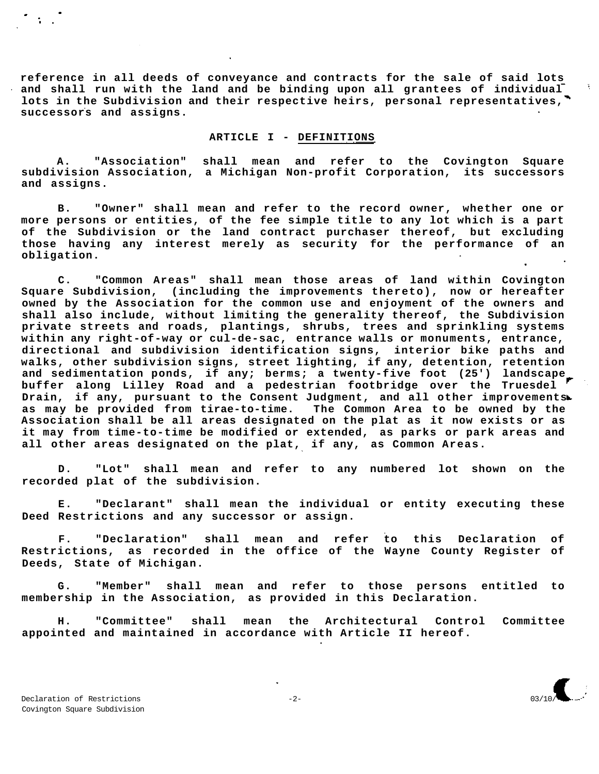**reference in all deeds of conveyance and contracts for the sale of said lots and shall run with the land and be binding upon all grantees of individual lots in the Subdivision and their respective heirs, personal representatives, successors and assigns.** 

# **ARTICLE I - DEFINITIONS**

**A. "Association" shall mean and refer to the Covington Square subdivision Association, a Michigan Non-profit Corporation, its successors and assigns.** 

**B. "Owner" shall mean and refer to the record owner, whether one or more persons or entities, of the fee simple title to any lot which is a part of the Subdivision or the land contract purchaser thereof, but excluding those having any interest merely as security for the performance of an obligation.** 

**C. "Common Areas" shall mean those areas of land within Covington Square Subdivision, (including the improvements thereto), now or hereafter owned by the Association for the common use and enjoyment of the owners and shall also include, without limiting the generality thereof, the Subdivision private streets and roads, plantings, shrubs, trees and sprinkling systems within any right-of-way or cul-de-sac, entrance walls or monuments, entrance, directional and subdivision identification signs, interior bike paths and walks, other subdivision signs, street lighting, if any, detention, retention and sedimentation ponds, if any; berms; a twenty-five foot (25') landscape buffer along Lilley Road and a pedestrian footbridge over the Truesdel Drain, if any, pursuant to the Consent Judgment, and all other improvements as may be provided from tirae-to-time. The Common Area to be owned by the Association shall be all areas designated on the plat as it now exists or as it may from time-to-time be modified or extended, as parks or park areas and all other areas designated on the plat, if any, as Common Areas.** 

**D. "Lot" shall mean and refer to any numbered lot shown on the recorded plat of the subdivision.** 

**E. "Declarant" shall mean the individual or entity executing these Deed Restrictions and any successor or assign.** 

**F. "Declaration" shall mean and refer to this Declaration of Restrictions, as recorded in the office of the Wayne County Register of Deeds, State of Michigan.** 

**G. "Member" shall mean and refer to those persons entitled to membership in the Association, as provided in this Declaration.** 

**H. "Committee" shall mean the Architectural Control Committee appointed and maintained in accordance with Article II hereof.**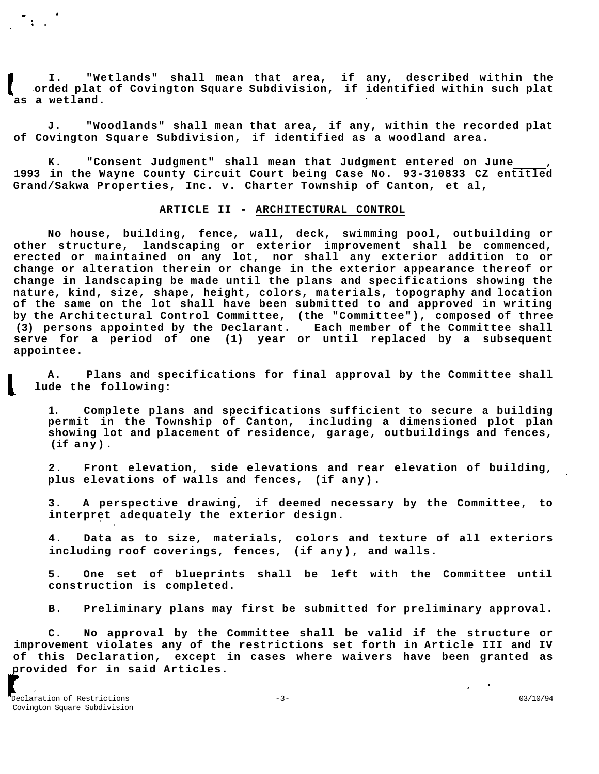**I. "Wetlands" shall mean that area, if any, described within the orded plat of Covington Square Subdivision, if identified within such plat as a wetland.** 

**J. "Woodlands" shall mean that area, if any, within the recorded plat of Covington Square Subdivision, if identified as a woodland area.** 

K. **"Consent Judgment"** shall mean that Judgment entered on June **1993 in the Wayne County Circuit Court being Case No. 93-310833 CZ entitled Grand/Sakwa Properties, Inc. v. Charter Township of Canton, et al,** 

# **ARTICLE II - ARCHITECTURAL CONTROL**

**No house, building, fence, wall, deck, swimming pool, outbuilding or other structure, landscaping or exterior improvement shall be commenced, erected or maintained on any lot, nor shall any exterior addition to or change or alteration therein or change in the exterior appearance thereof or change in landscaping be made until the plans and specifications showing the nature, kind, size, shape, height, colors, materials, topography and location of the same on the lot shall have been submitted to and approved in writing by the Architectural Control Committee, (the "Committee"), composed of three (3) persons appointed by the Declarant. Each member of the Committee shall serve for a period of one (1) year or until replaced by a subsequent appointee.** 

**A. Plans and specifications for final approval by the Committee shall lude the following:** 

**1. Complete plans and specifications sufficient to secure a building permit in the Township of Canton, including a dimensioned plot plan showing lot and placement of residence, garage, outbuildings and fences, (if any).** 

**2. Front elevation, side elevations and rear elevation of building, plus elevations of walls and fences, (if any).** 

**3. A perspective drawing, if deemed necessary by the Committee, to interpret adequately the exterior design.** 

**4. Data as to size, materials, colors and texture of all exteriors including roof coverings, fences, (if any), and walls.** 

**5. One set of blueprints shall be left with the Committee until construction is completed.** 

**B. Preliminary plans may first be submitted for preliminary approval.** 

**C. No approval by the Committee shall be valid if the structure or improvement violates any of the restrictions set forth in Article III and IV of this Declaration, except in cases where waivers have been granted as provided for in said Articles.** 

 $\bullet$  .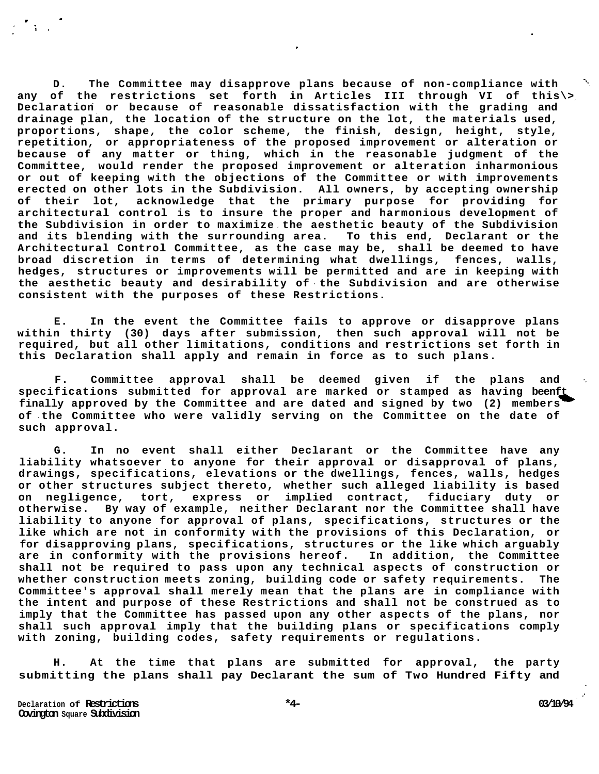**D. The Committee may disapprove plans because of non-compliance with any of the restrictions set forth in Articles III through VI of this\> Declaration or because of reasonable dissatisfaction with the grading and drainage plan, the location of the structure on the lot, the materials used, proportions, shape, the color scheme, the finish, design, height, style, repetition, or appropriateness of the proposed improvement or alteration or because of any matter or thing, which in the reasonable judgment of the Committee, would render the proposed improvement or alteration inharmonious or out of keeping with the objections of the Committee or with improvements erected on other lots in the Subdivision. All owners, by accepting ownership of their lot, acknowledge that the primary purpose for providing for architectural control is to insure the proper and harmonious development of the Subdivision in order to maximize the aesthetic beauty of the Subdivision and its blending with the surrounding area. To this end, Declarant or the Architectural Control Committee, as the case may be, shall be deemed to have broad discretion in terms of determining what dwellings, fences, walls, hedges, structures or improvements will be permitted and are in keeping with the aesthetic beauty and desirability of the Subdivision and are otherwise consistent with the purposes of these Restrictions.** 

**E. In the event the Committee fails to approve or disapprove plans within thirty (30) days after submission, then such approval will not be required, but all other limitations, conditions and restrictions set forth in this Declaration shall apply and remain in force as to such plans.** 

**F. Committee approval shall be deemed given if the plans and specifications submitted for approval are marked or stamped as having beenft finally approved by the Committee and are dated and signed by two (2) members of the Committee who were validly serving on the Committee on the date of such approval.** 

**G. In no event shall either Declarant or the Committee have any liability whatsoever to anyone for their approval or disapproval of plans, drawings, specifications, elevations or the dwellings, fences, walls, hedges or other structures subject thereto, whether such alleged liability is based on negligence, tort, express or implied contract, fiduciary duty or otherwise. By way of example, neither Declarant nor the Committee shall have liability to anyone for approval of plans, specifications, structures or the like which are not in conformity with the provisions of this Declaration, or for disapproving plans, specifications, structures or the like which arguably are in conformity with the provisions hereof. In addition, the Committee shall not be required to pass upon any technical aspects of construction or whether construction meets zoning, building code or safety requirements. The Committee's approval shall merely mean that the plans are in compliance with the intent and purpose of these Restrictions and shall not be construed as to imply that the Committee has passed upon any other aspects of the plans, nor shall such approval imply that the building plans or specifications comply with zoning, building codes, safety requirements or regulations.** 

**H. At the time that plans are submitted for approval, the party submitting the plans shall pay Declarant the sum of Two Hundred Fifty and**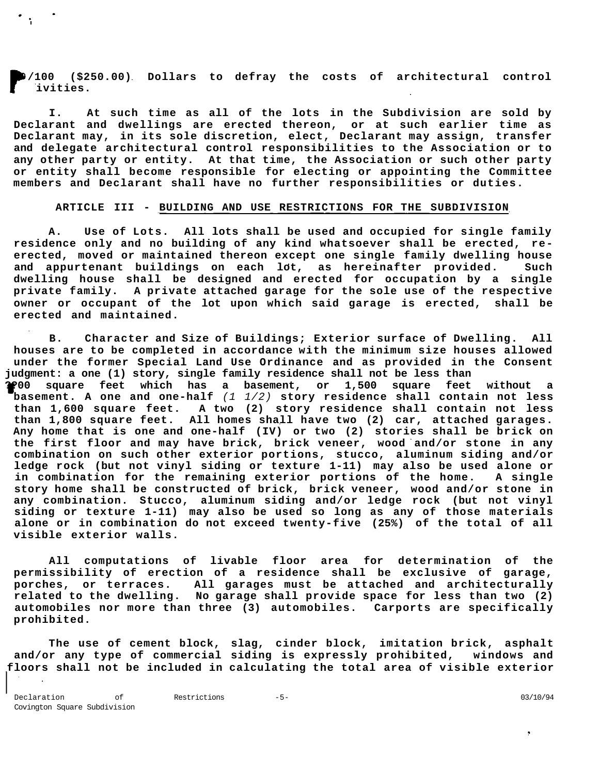**/100 (\$250.00) Dollars to defray the costs of architectural control ivities.** 

**I. At such time as all of the lots in the Subdivision are sold by Declarant and dwellings are erected thereon, or at such earlier time as Declarant may, in its sole discretion, elect, Declarant may assign, transfer and delegate architectural control responsibilities to the Association or to any other party or entity. At that time, the Association or such other party or entity shall become responsible for electing or appointing the Committee members and Declarant shall have no further responsibilities or duties.** 

### **ARTICLE III - BUILDING AND USE RESTRICTIONS FOR THE SUBDIVISION**

**A. Use of Lots. All lots shall be used and occupied for single family residence only and no building of any kind whatsoever shall be erected, reerected, moved or maintained thereon except one single family dwelling house and appurtenant buildings on each lot, as hereinafter provided. Such dwelling house shall be designed and erected for occupation by a single private family. A private attached garage for the sole use of the respective owner or occupant of the lot upon which said garage is erected, shall be erected and maintained.** 

**B. Character and Size of Buildings; Exterior surface of Dwelling. All houses are to be completed in accordance with the minimum size houses allowed under the former Special Land Use Ordinance and as provided in the Consent judgment: a one (1) story, single family residence shall not be less than ??00 square feet which has a basement, or 1,500 square feet without a basement. A one and one-half** (1 1/2) **story residence shall contain not less than 1,600 square feet. A two (2) story residence shall contain not less than 1,800 square feet. All homes shall have two (2) car, attached garages. Any home that is one and one-half (IV) or two (2) stories shall be brick on the first floor and may have brick, brick veneer, wood and/or stone in any combination on such other exterior portions, stucco, aluminum siding and/or ledge rock (but not vinyl siding or texture 1-11) may also be used alone or in combination for the remaining exterior portions of the home. A single story home shall be constructed of brick, brick veneer, wood and/or stone in any combination. Stucco, aluminum siding and/or ledge rock (but not vinyl siding or texture 1-11) may also be used so long as any of those materials alone or in combination do not exceed twenty-five (25%) of the total of all visible exterior walls.** 

**All computations of livable floor area for determination of the permissibility of erection of a residence shall be exclusive of garage, porches, or terraces. All garages must be attached and architecturally related to the dwelling. No garage shall provide space for less than two (2) automobiles nor more than three (3) automobiles. Carports are specifically prohibited.** 

**The use of cement block, slag, cinder block, imitation brick, asphalt and/or any type of commercial siding is expressly prohibited, windows and floors shall not be included in calculating the total area of visible exterior**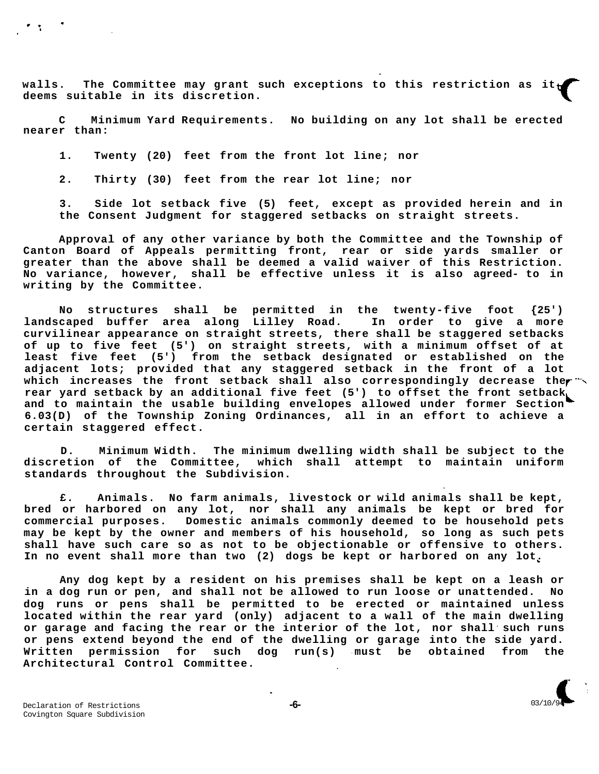walls. The Committee may grant such exceptions to this restriction as **deems suitable in its discretion.** 

**C Minimum Yard Requirements. No building on any lot shall be erected nearer than:** 

**1. Twenty (20) feet from the front lot line; nor** 

**2. Thirty (30) feet from the rear lot line; nor** 

**3. Side lot setback five (5) feet, except as provided herein and in the Consent Judgment for staggered setbacks on straight streets.** 

**Approval of any other variance by both the Committee and the Township of Canton Board of Appeals permitting front, rear or side yards smaller or greater than the above shall be deemed a valid waiver of this Restriction. No variance, however, shall be effective unless it is also agreed- to in writing by the Committee.** 

**No structures shall be permitted in the twenty-five foot {25') landscaped buffer area along Lilley Road. In order to give a more curvilinear appearance on straight streets, there shall be staggered setbacks of up to five feet (5') on straight streets, with a minimum offset of at least five feet (5') from the setback designated or established on the adjacent lots; provided that any staggered setback in the front of a lot**  which increases the front setback shall also correspondingly decrease the <sup>\*\*</sup> **rear yard setback by an additional five feet (5') to offset the front setback and to maintain the usable building envelopes allowed under former Section 6.03(D) of the Township Zoning Ordinances, all in an effort to achieve a certain staggered effect.** 

**D. Minimum Width. The minimum dwelling width shall be subject to the discretion of the Committee, which shall attempt to maintain uniform standards throughout the Subdivision.** 

**£. Animals. No farm animals, livestock or wild animals shall be kept, bred or harbored on any lot, nor shall any animals be kept or bred for commercial purposes. Domestic animals commonly deemed to be household pets may be kept by the owner and members of his household, so long as such pets shall have such care so as not to be objectionable or offensive to others. In no event shall more than two (2) dogs be kept or harbored on any lot.** 

**Any dog kept by a resident on his premises shall be kept on a leash or in a dog run or pen, and shall not be allowed to run loose or unattended. No dog runs or pens shall be permitted to be erected or maintained unless located within the rear yard (only) adjacent to a wall of the main dwelling or garage and facing the rear or the interior of the lot, nor shall such runs or pens extend beyond the end of the dwelling or garage into the side yard. Written permission for such dog run(s) must be obtained from the Architectural Control Committee.**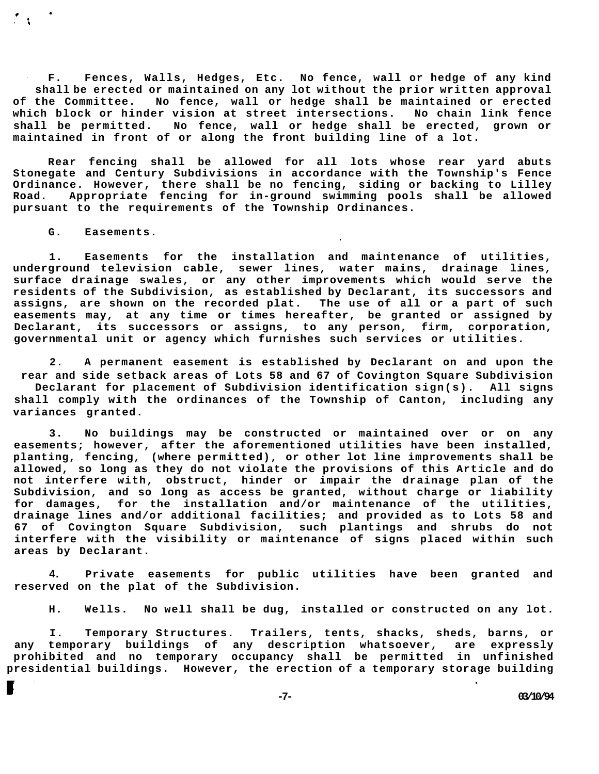**F. Fences, Walls, Hedges, Etc. No fence, wall or hedge of any kind shall be erected or maintained on any lot without the prior written approval of the Committee. No fence, wall or hedge shall be maintained or erected which block or hinder vision at street intersections. No chain link fence shall be permitted. No fence, wall or hedge shall be erected, grown or maintained in front of or along the front building line of a lot.** 

**Rear fencing shall be allowed for all lots whose rear yard abuts Stonegate and Century Subdivisions in accordance with the Township's Fence Ordinance. However, there shall be no fencing, siding or backing to Lilley Road. Appropriate fencing for in-ground swimming pools shall be allowed pursuant to the requirements of the Township Ordinances.** 

**G. Easements.** 

**1. Easements for the installation and maintenance of utilities, underground television cable, sewer lines, water mains, drainage lines, surface drainage swales, or any other improvements which would serve the residents of the Subdivision, as established by Declarant, its successors and assigns, are shown on the recorded plat. The use of all or a part of such easements may, at any time or times hereafter, be granted or assigned by Declarant, its successors or assigns, to any person, firm, corporation, governmental unit or agency which furnishes such services or utilities.** 

**2. A permanent easement is established by Declarant on and upon the rear and side setback areas of Lots 58 and 67 of Covington Square Subdivision Declarant for placement of Subdivision identification sign(s). All signs shall comply with the ordinances of the Township of Canton, including any variances granted.** 

**3. No buildings may be constructed or maintained over or on any easements; however, after the aforementioned utilities have been installed, planting, fencing, (where permitted), or other lot line improvements shall be allowed, so long as they do not violate the provisions of this Article and do not interfere with, obstruct, hinder or impair the drainage plan of the Subdivision, and so long as access be granted, without charge or liability for damages, for the installation and/or maintenance of the utilities, drainage lines and/or additional facilities; and provided as to Lots 58 and 67 of Covington Square Subdivision, such plantings and shrubs do not interfere with the visibility or maintenance of signs placed within such areas by Declarant.** 

**4. Private easements for public utilities have been granted and reserved on the plat of the Subdivision.** 

**H. Wells. No well shall be dug, installed or constructed on any lot.** 

**I. Temporary Structures. Trailers, tents, shacks, sheds, barns, or any temporary buildings of any description whatsoever, are expressly prohibited and no temporary occupancy shall be permitted in unfinished presidential buildings. However, the erection of a temporary storage building** 

**-7- 03/10/94**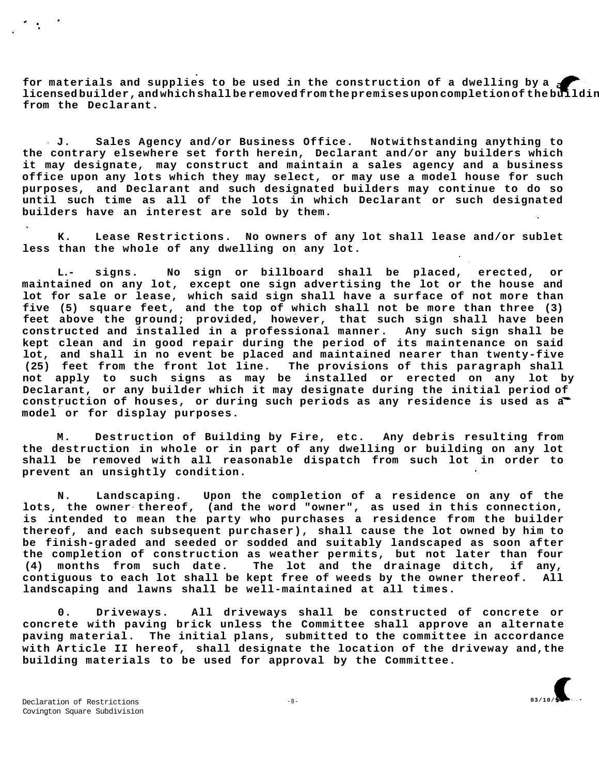**for materials and supplies to be used in the construction of a dwelling by a licensed builder, and which shall be removed from the premises upon completion of the building, may be permitted, upon prior written permission from the Declarant.** 

**J. Sales Agency and/or Business Office. Notwithstanding anything to the contrary elsewhere set forth herein, Declarant and/or any builders which it may designate, may construct and maintain a sales agency and a business office upon any lots which they may select, or may use a model house for such purposes, and Declarant and such designated builders may continue to do so until such time as all of the lots in which Declarant or such designated builders have an interest are sold by them.** 

**K. Lease Restrictions. No owners of any lot shall lease and/or sublet less than the whole of any dwelling on any lot.** 

**L.- signs. No sign or billboard shall be placed, erected, or maintained on any lot, except one sign advertising the lot or the house and lot for sale or lease, which said sign shall have a surface of not more than five (5) square feet, and the top of which shall not be more than three (3) feet above the ground; provided, however, that such sign shall have been constructed and installed in a professional manner. Any such sign shall be kept clean and in good repair during the period of its maintenance on said lot, and shall in no event be placed and maintained nearer than twenty-five (25) feet from the front lot line. The provisions of this paragraph shall not apply to such signs as may be installed or erected on any lot by Declarant, or any builder which it may designate during the initial period of construction of houses, or during such periods as any residence is used as a model or for display purposes.** 

**M. Destruction of Building by Fire, etc. Any debris resulting from the destruction in whole or in part of any dwelling or building on any lot shall be removed with all reasonable dispatch from such lot in order to prevent an unsightly condition.** 

**N. Landscaping. Upon the completion of a residence on any of the lots, the owner thereof, (and the word "owner", as used in this connection, is intended to mean the party who purchases a residence from the builder thereof, and each subsequent purchaser), shall cause the lot owned by him to be finish-graded and seeded or sodded and suitably landscaped as soon after the completion of construction as weather permits, but not later than four (4) months from such date. The lot and the drainage ditch, if any, contiguous to each lot shall be kept free of weeds by the owner thereof. All landscaping and lawns shall be well-maintained at all times.** 

**0. Driveways. All driveways shall be constructed of concrete or concrete with paving brick unless the Committee shall approve an alternate paving material. The initial plans, submitted to the committee in accordance with Article II hereof, shall designate the location of the driveway and,the building materials to be used for approval by the Committee.**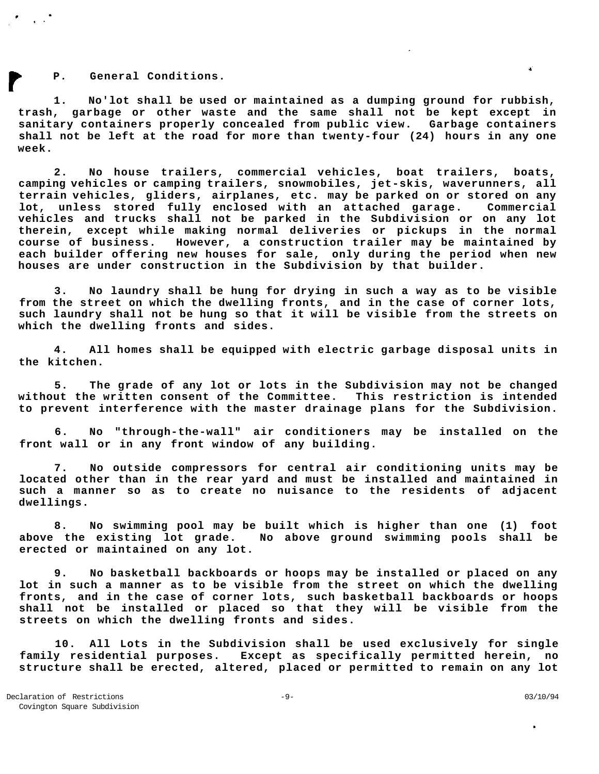**P. General Conditions.** 

**1. No'lot shall be used or maintained as a dumping ground for rubbish, trash, garbage or other waste and the same shall not be kept except in sanitary containers properly concealed from public view. Garbage containers shall not be left at the road for more than twenty-four (24) hours in any one week.** 

**2. No house trailers, commercial vehicles, boat trailers, boats, camping vehicles or camping trailers, snowmobiles, jet-skis, waverunners, all terrain vehicles, gliders, airplanes, etc. may be parked on or stored on any lot, unless stored fully enclosed with an attached garage. Commercial vehicles and trucks shall not be parked in the Subdivision or on any lot therein, except while making normal deliveries or pickups in the normal course of business. However, a construction trailer may be maintained by each builder offering new houses for sale, only during the period when new houses are under construction in the Subdivision by that builder.** 

**3. No laundry shall be hung for drying in such a way as to be visible from the street on which the dwelling fronts, and in the case of corner lots, such laundry shall not be hung so that it will be visible from the streets on which the dwelling fronts and sides.** 

**4. All homes shall be equipped with electric garbage disposal units in the kitchen.** 

**5. The grade of any lot or lots in the Subdivision may not be changed without the written consent of the Committee. This restriction is intended to prevent interference with the master drainage plans for the Subdivision.** 

**6. No "through-the-wall" air conditioners may be installed on the front wall or in any front window of any building.** 

**7. No outside compressors for central air conditioning units may be located other than in the rear yard and must be installed and maintained in such a manner so as to create no nuisance to the residents of adjacent dwellings.** 

**8. No swimming pool may be built which is higher than one (1) foot above the existing lot grade. No above ground swimming pools shall be erected or maintained on any lot.** 

**9. No basketball backboards or hoops may be installed or placed on any lot in such a manner as to be visible from the street on which the dwelling fronts, and in the case of corner lots, such basketball backboards or hoops shall not be installed or placed so that they will be visible from the streets on which the dwelling fronts and sides.** 

**10. All Lots in the Subdivision shall be used exclusively for single family residential purposes. Except as specifically permitted herein, no structure shall be erected, altered, placed or permitted to remain on any lot** 

 $\mathbf{q}^{\prime}$  .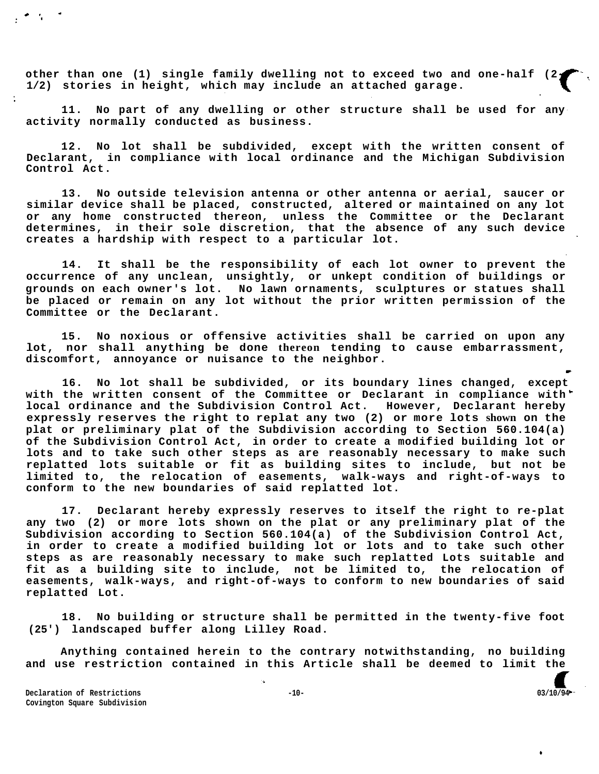**other than one (1) single family dwelling not to exceed two and one-half (2 1/2) stories in height, which may include an attached garage.** 

**11. No part of any dwelling or other structure shall be used for any activity normally conducted as business.** 

**12. No lot shall be subdivided, except with the written consent of Declarant, in compliance with local ordinance and the Michigan Subdivision Control Act.** 

**13. No outside television antenna or other antenna or aerial, saucer or similar device shall be placed, constructed, altered or maintained on any lot or any home constructed thereon, unless the Committee or the Declarant determines, in their sole discretion, that the absence of any such device creates a hardship with respect to a particular lot.** 

**14. It shall be the responsibility of each lot owner to prevent the occurrence of any unclean, unsightly, or unkept condition of buildings or grounds on each owner's lot. No lawn ornaments, sculptures or statues shall be placed or remain on any lot without the prior written permission of the Committee or the Declarant.** 

**15. No noxious or offensive activities shall be carried on upon any lot, nor shall anything be done thereon tending to cause embarrassment, discomfort, annoyance or nuisance to the neighbor.** 

**16. No lot shall be subdivided, or its boundary lines changed, except with the written consent of the Committee or Declarant in compliance with local ordinance and the Subdivision Control Act. However, Declarant hereby expressly reserves the right to replat any two (2) or more lots shown on the plat or preliminary plat of the Subdivision according to Section 560.104(a) of the Subdivision Control Act, in order to create a modified building lot or lots and to take such other steps as are reasonably necessary to make such replatted lots suitable or fit as building sites to include, but not be limited to, the relocation of easements, walk-ways and right-of-ways to conform to the new boundaries of said replatted lot.** 

**17. Declarant hereby expressly reserves to itself the right to re-plat any two (2) or more lots shown on the plat or any preliminary plat of the Subdivision according to Section 560.104(a) of the Subdivision Control Act, in order to create a modified building lot or lots and to take such other steps as are reasonably necessary to make such replatted Lots suitable and fit as a building site to include, not be limited to, the relocation of easements, walk-ways, and right-of-ways to conform to new boundaries of said replatted Lot.** 

**18. No building or structure shall be permitted in the twenty-five foot (25') landscaped buffer along Lilley Road.** 

**Anything contained herein to the contrary notwithstanding, no building and use restriction contained in this Article shall be deemed to limit the** 

**Declaration of Restrictions**  $-10-$  **03/10/94 Covington Square Subdivision**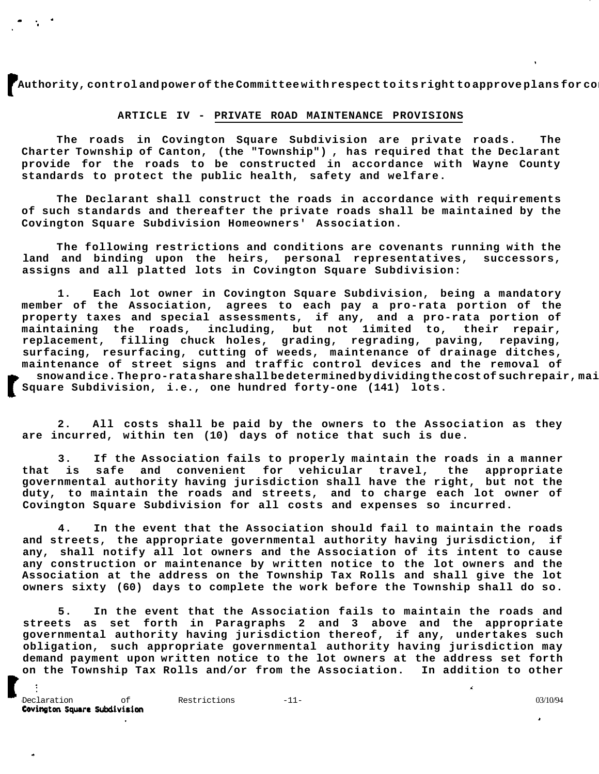**Authority, control and power of the Committee with respect to its right to approve plans for construction on on the Committee with respect on the induction on**  $\mathbf{r}$  **construction on**  $\mathbf{r}$  **and**  $\mathbf{r}$  **and**  $\mathbf{r}$  **an** 

# **ARTICLE IV - PRIVATE ROAD MAINTENANCE PROVISIONS**

**The roads in Covington Square Subdivision are private roads. The Charter Township of Canton, (the "Township") , has required that the Declarant provide for the roads to be constructed in accordance with Wayne County standards to protect the public health, safety and welfare.** 

**The Declarant shall construct the roads in accordance with requirements of such standards and thereafter the private roads shall be maintained by the Covington Square Subdivision Homeowners' Association.** 

**The following restrictions and conditions are covenants running with the land and binding upon the heirs, personal representatives, successors, assigns and all platted lots in Covington Square Subdivision:** 

**1. Each lot owner in Covington Square Subdivision, being a mandatory member of the Association, agrees to each pay a pro-rata portion of the property taxes and special assessments, if any, and a pro-rata portion of maintaining the roads, including, but not 1imited to, their repair, replacement, filling chuck holes, grading, regrading, paving, repaving, surfacing, resurfacing, cutting of weeds, maintenance of drainage ditches, maintenance of street signs and traffic control devices and the removal of**  snow and ice. The pro-rata share shall be determined by dividing the cost of such repair, mai **Square Subdivision, i.e., one hundred forty-one (141) lots.** 

**2. All costs shall be paid by the owners to the Association as they are incurred, within ten (10) days of notice that such is due.** 

**3. If the Association fails to properly maintain the roads in a manner that is safe and convenient for vehicular travel, the appropriate governmental authority having jurisdiction shall have the right, but not the duty, to maintain the roads and streets, and to charge each lot owner of Covington Square Subdivision for all costs and expenses so incurred.** 

**4. In the event that the Association should fail to maintain the roads and streets, the appropriate governmental authority having jurisdiction, if any, shall notify all lot owners and the Association of its intent to cause any construction or maintenance by written notice to the lot owners and the Association at the address on the Township Tax Rolls and shall give the lot owners sixty (60) days to complete the work before the Township shall do so.** 

**5. In the event that the Association fails to maintain the roads and streets as set forth in Paragraphs 2 and 3 above and the appropriate governmental authority having jurisdiction thereof, if any, undertakes such obligation, such appropriate governmental authority having jurisdiction may demand payment upon written notice to the lot owners at the address set forth on the Township Tax Rolls and/or from the Association. In addition to other** 

 $\Delta$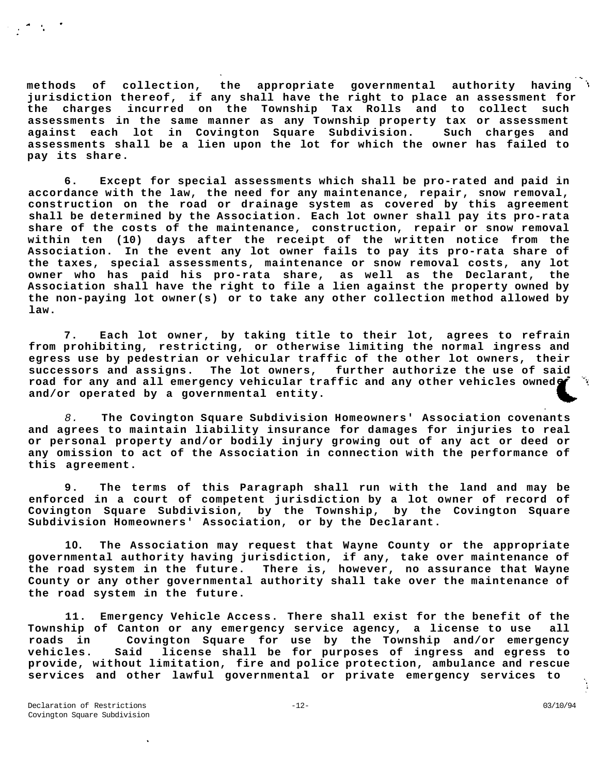**methods of collection, the appropriate governmental authority having jurisdiction thereof, if any shall have the right to place an assessment for the charges incurred on the Township Tax Rolls and to collect such assessments in the same manner as any Township property tax or assessment against each lot in Covington Square Subdivision. Such charges and assessments shall be a lien upon the lot for which the owner has failed to pay its share.** 

**6. Except for special assessments which shall be pro-rated and paid in accordance with the law, the need for any maintenance, repair, snow removal, construction on the road or drainage system as covered by this agreement shall be determined by the Association. Each lot owner shall pay its pro-rata share of the costs of the maintenance, construction, repair or snow removal within ten (10) days after the receipt of the written notice from the Association. In the event any lot owner fails to pay its pro-rata share of the taxes, special assessments, maintenance or snow removal costs, any lot owner who has paid his pro-rata share, as well as the Declarant, the Association shall have the right to file a lien against the property owned by the non-paying lot owner(s) or to take any other collection method allowed by law.** 

**7. Each lot owner, by taking title to their lot, agrees to refrain from prohibiting, restricting, or otherwise limiting the normal ingress and egress use by pedestrian or vehicular traffic of the other lot owners, their successors and assigns. The lot owners, further authorize the use of said**  road for any and all emergency vehicular traffic and any other vehicles owned<sup>6</sup> **and/or operated by a governmental entity.** 

8. **The Covington Square Subdivision Homeowners' Association covenants and agrees to maintain liability insurance for damages for injuries to real or personal property and/or bodily injury growing out of any act or deed or any omission to act of the Association in connection with the performance of this agreement.** 

**9. The terms of this Paragraph shall run with the land and may be enforced in a court of competent jurisdiction by a lot owner of record of Covington Square Subdivision, by the Township, by the Covington Square Subdivision Homeowners' Association, or by the Declarant.** 

**10. The Association may request that Wayne County or the appropriate governmental authority having jurisdiction, if any, take over maintenance of the road system in the future. There is, however, no assurance that Wayne County or any other governmental authority shall take over the maintenance of the road system in the future.** 

**11. Emergency Vehicle Access. There shall exist for the benefit of the Township of Canton or any emergency service agency, a license to use all roads in Covington Square for use by the Township and/or emergency vehicles. Said license shall be for purposes of ingress and egress to provide, without limitation, fire and police protection, ambulance and rescue services and other lawful governmental or private emergency services to**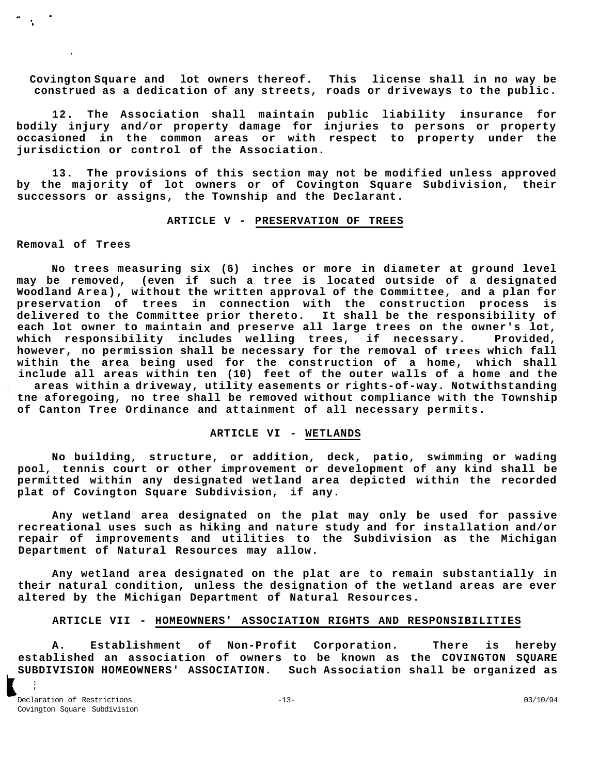**Covington Square and lot owners thereof. This license shall in no way be construed as a dedication of any streets, roads or driveways to the public.** 

**12. The Association shall maintain public liability insurance for bodily injury and/or property damage for injuries to persons or property occasioned in the common areas or with respect to property under the jurisdiction or control of the Association.** 

**13. The provisions of this section may not be modified unless approved by the majority of lot owners or of Covington Square Subdivision, their successors or assigns, the Township and the Declarant.** 

# **ARTICLE V - PRESERVATION OF TREES**

#### **Removal of Trees**

 $\mathcal{A}^{\mathcal{A}}$ 

**No trees measuring six (6) inches or more in diameter at ground level may be removed, (even if such a tree is located outside of a designated Woodland Area), without the written approval of the Committee, and a plan for preservation of trees in connection with the construction process is delivered to the Committee prior thereto. It shall be the responsibility of each lot owner to maintain and preserve all large trees on the owner's lot, which responsibility includes welling trees, if necessary. Provided, however, no permission shall be necessary for the removal of tree s which fall within the area being used for the construction of a home, which shall include all areas within ten (10) feet of the outer walls of a home and the areas within a driveway, utility easements or rights-of-way. Notwithstanding tne aforegoing, no tree shall be removed without compliance with the Township of Canton Tree Ordinance and attainment of all necessary permits.** 

# **ARTICLE VI - WETLANDS**

**No building, structure, or addition, deck, patio, swimming or wading pool, tennis court or other improvement or development of any kind shall be permitted within any designated wetland area depicted within the recorded plat of Covington Square Subdivision, if any.** 

**Any wetland area designated on the plat may only be used for passive recreational uses such as hiking and nature study and for installation and/or repair of improvements and utilities to the Subdivision as the Michigan Department of Natural Resources may allow.** 

**Any wetland area designated on the plat are to remain substantially in their natural condition, unless the designation of the wetland areas are ever altered by the Michigan Department of Natural Resources.** 

## **ARTICLE VII - HOMEOWNERS' ASSOCIATION RIGHTS AND RESPONSIBILITIES**

**A. Establishment of Non-Profit Corporation. There is hereby established an association of owners to be known as the COVINGTON SQUARE SUBDIVISION HOMEOWNERS' ASSOCIATION. Such Association shall be organized as**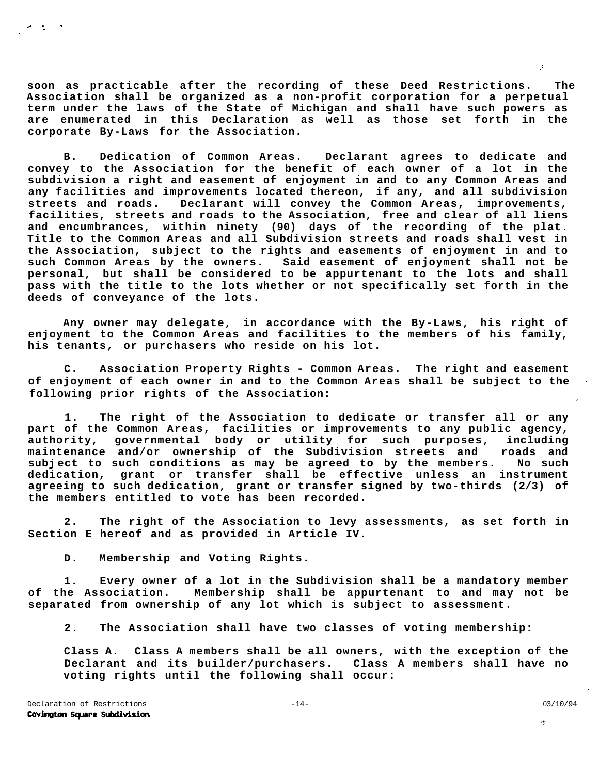**soon as practicable after the recording of these Deed Restrictions. The Association shall be organized as a non-profit corporation for a perpetual term under the laws of the State of Michigan and shall have such powers as are enumerated in this Declaration as well as those set forth in the corporate By-Laws for the Association.** 

**B. Dedication of Common Areas. Declarant agrees to dedicate and convey to the Association for the benefit of each owner of a lot in the subdivision a right and easement of enjoyment in and to any Common Areas and any facilities and improvements located thereon, if any, and all subdivision streets and roads. Declarant will convey the Common Areas, improvements, facilities, streets and roads to the Association, free and clear of all liens and encumbrances, within ninety (90) days of the recording of the plat. Title to the Common Areas and all Subdivision streets and roads shall vest in the Association, subject to the rights and easements of enjoyment in and to such Common Areas by the owners. Said easement of enjoyment shall not be personal, but shall be considered to be appurtenant to the lots and shall pass with the title to the lots whether or not specifically set forth in the deeds of conveyance of the lots.** 

**Any owner may delegate, in accordance with the By-Laws, his right of enjoyment to the Common Areas and facilities to the members of his family, his tenants, or purchasers who reside on his lot.** 

**C. Association Property Rights - Common Areas. The right and easement of enjoyment of each owner in and to the Common Areas shall be subject to the following prior rights of the Association:** 

**1. The right of the Association to dedicate or transfer all or any part of the Common Areas, facilities or improvements to any public agency, authority, governmental body or utility for such purposes, including maintenance and/or ownership of the Subdivision streets and roads and subj ect to such conditions as may be agreed to by the members. No such dedication, grant or transfer shall be effective unless an instrument agreeing to such dedication, grant or transfer signed by two-thirds (2/3) of the members entitled to vote has been recorded.** 

**2. The right of the Association to levy assessments, as set forth in Section E hereof and as provided in Article IV.** 

**D. Membership and Voting Rights.** 

**1. Every owner of a lot in the Subdivision shall be a mandatory member of the Association. Membership shall be appurtenant to and may not be separated from ownership of any lot which is subject to assessment.** 

**2. The Association shall have two classes of voting membership:** 

**Class A. Class A members shall be all owners, with the exception of the Declarant and its builder/purchasers. Class A members shall have no voting rights until the following shall occur:** 

 $\sigma_{\rm{eff}}=0.05$ 

瘦

A.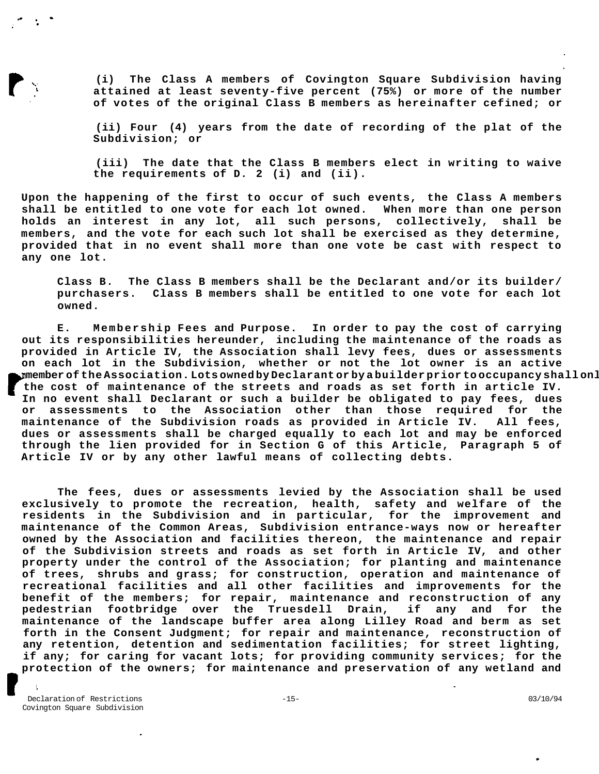**(i) The Class A members of Covington Square Subdivision having attained at least seventy-five percent (75%) or more of the number of votes of the original Class B members as hereinafter cefined; or** 

**(ii) Four (4) years from the date of recording of the plat of the Subdivision; or** 

**(iii) The date that the Class B members elect in writing to waive the requirements of D. 2 (i) and (ii).** 

**Upon the happening of the first to occur of such events, the Class A members shall be entitled to one vote for each lot owned. When more than one person holds an interest in any lot, all such persons, collectively, shall be members, and the vote for each such lot shall be exercised as they determine, provided that in no event shall more than one vote be cast with respect to any one lot.** 

**Class B. The Class B members shall be the Declarant and/or its builder/ purchasers. Class B members shall be entitled to one vote for each lot owned.** 

**E. Membership Fees and Purpose. In order to pay the cost of carrying out its responsibilities hereunder, including the maintenance of the roads as provided in Article IV, the Association shall levy fees, dues or assessments on each lot in the Subdivision, whether or not the lot owner is an active member of the Association. Lots owned by Declarant or by a builder prior to occupancy shall only be subject to fees, dues or assessments on each lot for the cost of maintenance of the streets and roads as set forth in article IV. In no event shall Declarant or such a builder be obligated to pay fees, dues or assessments to the Association other than those required for the maintenance of the Subdivision roads as provided in Article IV. All fees, dues or assessments shall be charged equally to each lot and may be enforced through the lien provided for in Section G of this Article, Paragraph 5 of Article IV or by any other lawful means of collecting debts.** 

**The fees, dues or assessments levied by the Association shall be used exclusively to promote the recreation, health, safety and welfare of the residents in the Subdivision and in particular, for the improvement and maintenance of the Common Areas, Subdivision entrance-ways now or hereafter owned by the Association and facilities thereon, the maintenance and repair of the Subdivision streets and roads as set forth in Article IV, and other property under the control of the Association; for planting and maintenance of trees, shrubs and grass; for construction, operation and maintenance of recreational facilities and all other facilities and improvements for the benefit of the members; for repair, maintenance and reconstruction of any pedestrian footbridge over the Truesdell Drain, if any and for the maintenance of the landscape buffer area along Lilley Road and berm as set forth in the Consent Judgment; for repair and maintenance, reconstruction of any retention, detention and sedimentation facilities; for street lighting, if any; for caring for vacant lots; for providing community services; for the protection of the owners; for maintenance and preservation of any wetland and** 

Declaration of Restrictions  $-15-$  03/10/94 Covington Square Subdivision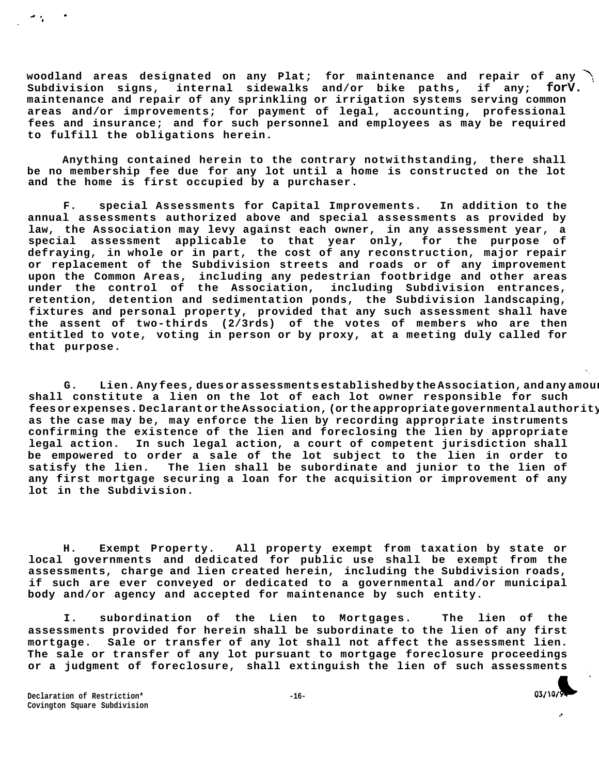**woodland areas designated on any Plat; for maintenance and repair of any Subdivision signs, internal sidewalks and/or bike paths, if any; forV. maintenance and repair of any sprinkling or irrigation systems serving common areas and/or improvements; for payment of legal, accounting, professional fees and insurance; and for such personnel and employees as may be required to fulfill the obligations herein.** 

**Anything contained herein to the contrary notwithstanding, there shall be no membership fee due for any lot until a home is constructed on the lot and the home is first occupied by a purchaser.** 

**F. special Assessments for Capital Improvements. In addition to the annual assessments authorized above and special assessments as provided by law, the Association may levy against each owner, in any assessment year, a special assessment applicable to that year only, for the purpose of defraying, in whole or in part, the cost of any reconstruction, major repair or replacement of the Subdivision streets and roads or of any improvement upon the Common Areas, including any pedestrian footbridge and other areas under the control of the Association, including Subdivision entrances, retention, detention and sedimentation ponds, the Subdivision landscaping, fixtures and personal property, provided that any such assessment shall have the assent of two-thirds (2/3rds) of the votes of members who are then entitled to vote, voting in person or by proxy, at a meeting duly called for that purpose.** 

G. Lien. Any fees, dues or asses sments established by the Association, and any amou: **shall constitute a lien on the lot of each lot owner responsible for such**  feesorexpenses. Declarant or the Association, (or the appropriate governmental authority **as the case may be, may enforce the lien by recording appropriate instruments confirming the existence of the lien and foreclosing the lien by appropriate legal action. In such legal action, a court of competent jurisdiction shall be empowered to order a sale of the lot subject to the lien in order to satisfy the lien. The lien shall be subordinate and junior to the lien of any first mortgage securing a loan for the acquisition or improvement of any lot in the Subdivision.** 

**H. Exempt Property. All property exempt from taxation by state or local governments and dedicated for public use shall be exempt from the assessments, charge and lien created herein, including the Subdivision roads, if such are ever conveyed or dedicated to a governmental and/or municipal body and/or agency and accepted for maintenance by such entity.** 

**I. subordination of the Lien to Mortgages. The lien of the assessments provided for herein shall be subordinate to the lien of any first mortgage. Sale or transfer of any lot shall not affect the assessment lien. The sale or transfer of any lot pursuant to mortgage foreclosure proceedings or a judgment of foreclosure, shall extinguish the lien of such assessments** 

**Declaration of Restriction\* -16- Covington Square Subdivision** 

 $\ddot{\phantom{0}}$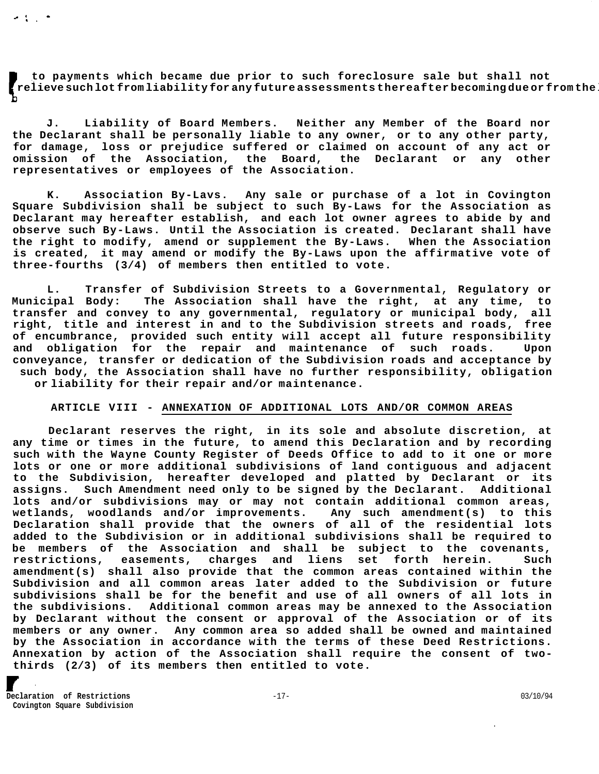**to payments which became due prior to such foreclosure sale but shall not relieve such lot from liability for any future assessments thereafter becoming due or from the** 

**J. Liability of Board Members. Neither any Member of the Board nor the Declarant shall be personally liable to any owner, or to any other party, for damage, loss or prejudice suffered or claimed on account of any act or omission of the Association, the Board, the Declarant or any other representatives or employees of the Association.** 

**K. Association By-Lavs. Any sale or purchase of a lot in Covington Square Subdivision shall be subject to such By-Laws for the Association as Declarant may hereafter establish, and each lot owner agrees to abide by and observe such By-Laws. Until the Association is created. Declarant shall have the right to modify, amend or supplement the By-Laws. When the Association is created, it may amend or modify the By-Laws upon the affirmative vote of three-fourths (3/4) of members then entitled to vote.** 

**L. Transfer of Subdivision Streets to a Governmental, Regulatory or Municipal Body: The Association shall have the right, at any time, to transfer and convey to any governmental, regulatory or municipal body, all right, title and interest in and to the Subdivision streets and roads, free of encumbrance, provided such entity will accept all future responsibility and obligation for the repair and maintenance of such roads. Upon conveyance, transfer or dedication of the Subdivision roads and acceptance by such body, the Association shall have no further responsibility, obligation or liability for their repair and/or maintenance.** 

# **ARTICLE VIII - ANNEXATION OF ADDITIONAL LOTS AND/OR COMMON AREAS**

**Declarant reserves the right, in its sole and absolute discretion, at any time or times in the future, to amend this Declaration and by recording such with the Wayne County Register of Deeds Office to add to it one or more lots or one or more additional subdivisions of land contiguous and adjacent to the Subdivision, hereafter developed and platted by Declarant or its assigns. Such Amendment need only to be signed by the Declarant. Additional lots and/or subdivisions may or may not contain additional common areas, wetlands, woodlands and/or improvements. Any such amendment(s) to this Declaration shall provide that the owners of all of the residential lots added to the Subdivision or in additional subdivisions shall be required to be members of the Association and shall be subject to the covenants, restrictions, easements, charges and liens set forth herein. Such amendment(s) shall also provide that the common areas contained within the Subdivision and all common areas later added to the Subdivision or future subdivisions shall be for the benefit and use of all owners of all lots in the subdivisions. Additional common areas may be annexed to the Association by Declarant without the consent or approval of the Association or of its members or any owner. Any common area so added shall be owned and maintained by the Association in accordance with the terms of these Deed Restrictions. Annexation by action of the Association shall require the consent of twothirds (2/3) of its members then entitled to vote.** 

**Declaration of Restrictions**  $-17-$  03/10/94 **Covington Square Subdivision** 

 $\sim$  1  $\sim$   $\sim$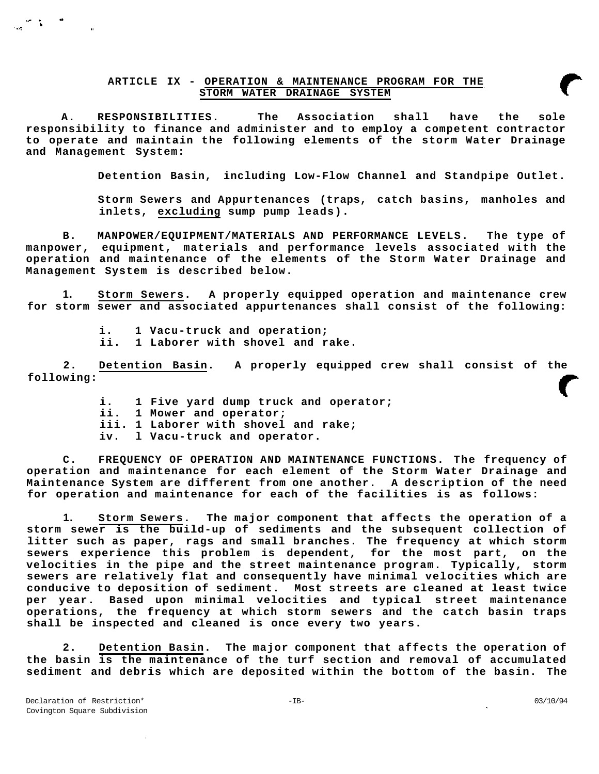# **ARTICLE IX - OPERATION & MAINTENANCE PROGRAM FOR THE STORM WATER DRAINAGE SYSTEM**

**A. RESPONSIBILITIES. The Association shall have the sole responsibility to finance and administer and to employ a competent contractor to operate and maintain the following elements of the storm Water Drainage and Management System:** 

**Detention Basin, including Low-Flow Channel and Standpipe Outlet.** 

**Storm Sewers and Appurtenances (traps, catch basins, manholes and inlets, excluding sump pump leads).** 

**B. MANPOWER/EQUIPMENT/MATERIALS AND PERFORMANCE LEVELS. The type of manpower, equipment, materials and performance levels associated with the operation and maintenance of the elements of the Storm Water Drainage and Management System is described below.** 

**1. Storm Sewers. A properly equipped operation and maintenance crew for storm sewer and associated appurtenances shall consist of the following:** 

> **i. 1 Vacu-truck and operation; ii. 1 Laborer with shovel and rake.**

**2. Detention Basin. A properly equipped crew shall consist of the following:** 

- **i. 1 Five yard dump truck and operator;**
- **ii. 1 Mower and operator;**

**iii. 1 Laborer with shovel and rake;** 

**iv. l Vacu-truck and operator.** 

**C. FREQUENCY OF OPERATION AND MAINTENANCE FUNCTIONS. The frequency of operation and maintenance for each element of the Storm Water Drainage and Maintenance System are different from one another. A description of the need for operation and maintenance for each of the facilities is as follows:** 

**1. Storm Sewers. The major component that affects the operation of a storm sewer is the build-up of sediments and the subsequent collection of litter such as paper, rags and small branches. The frequency at which storm sewers experience this problem is dependent, for the most part, on the velocities in the pipe and the street maintenance program. Typically, storm sewers are relatively flat and consequently have minimal velocities which are conducive to deposition of sediment. Most streets are cleaned at least twice per year. Based upon minimal velocities and typical street maintenance operations, the frequency at which storm sewers and the catch basin traps shall be inspected and cleaned is once every two years.** 

**2. Detention Basin. The major component that affects the operation of the basin is the maintenance of the turf section and removal of accumulated sediment and debris which are deposited within the bottom of the basin. The**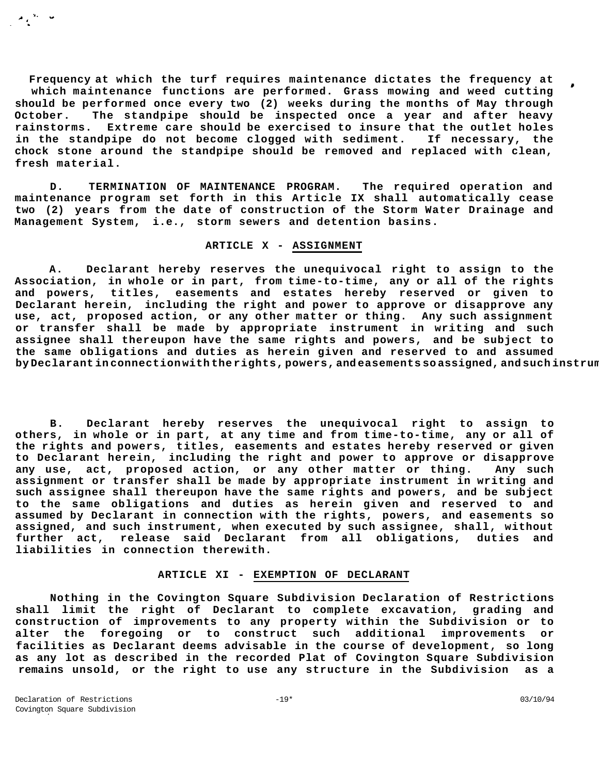**Frequency at which the turf requires maintenance dictates the frequency at which maintenance functions are performed. Grass mowing and weed cutting should be performed once every two (2) weeks during the months of May through October. The standpipe should be inspected once a year and after heavy rainstorms. Extreme care should be exercised to insure that the outlet holes in the standpipe do not become clogged with sediment. If necessary, the chock stone around the standpipe should be removed and replaced with clean, fresh material.** 

**D. TERMINATION OF MAINTENANCE PROGRAM. The required operation and maintenance program set forth in this Article IX shall automatically cease two (2) years from the date of construction of the Storm Water Drainage and Management System, i.e., storm sewers and detention basins.** 

# **ARTICLE X - ASSIGNMENT**

**A. Declarant hereby reserves the unequivocal right to assign to the Association, in whole or in part, from time-to-time, any or all of the rights and powers, titles, easements and estates hereby reserved or given to Declarant herein, including the right and power to approve or disapprove any use, act, proposed action, or any other matter or thing. Any such assignment or transfer shall be made by appropriate instrument in writing and such assignee shall thereupon have the same rights and powers, and be subject to the same obligations and duties as herein given and reserved to and assumed**  by Declarant in connection with the rights, powers, and easements so assigned, and such instrum

**B. Declarant hereby reserves the unequivocal right to assign to others, in whole or in part, at any time and from time-to-time, any or all of the rights and powers, titles, easements and estates hereby reserved or given to Declarant herein, including the right and power to approve or disapprove any use, act, proposed action, or any other matter or thing. Any such assignment or transfer shall be made by appropriate instrument in writing and such assignee shall thereupon have the same rights and powers, and be subject to the same obligations and duties as herein given and reserved to and assumed by Declarant in connection with the rights, powers, and easements so assigned, and such instrument, when executed by such assignee, shall, without further act, release said Declarant from all obligations, duties and liabilities in connection therewith.** 

# **ARTICLE XI - EXEMPTION OF DECLARANT**

**Nothing in the Covington Square Subdivision Declaration of Restrictions shall limit the right of Declarant to complete excavation, grading and construction of improvements to any property within the Subdivision or to alter the foregoing or to construct such additional improvements or facilities as Declarant deems advisable in the course of development, so long as any lot as described in the recorded Plat of Covington Square Subdivision remains unsold, or the right to use any structure in the Subdivision as a** 

 $\frac{1}{\sqrt{2}}\sum_{i=1}^{N} \frac{1}{\sqrt{2}}\sum_{i=1}^{N} \frac{1}{\sqrt{2}}\sum_{i=1}^{N} \frac{1}{\sqrt{2}}\sum_{i=1}^{N} \frac{1}{\sqrt{2}}\sum_{i=1}^{N} \frac{1}{\sqrt{2}}\sum_{i=1}^{N} \frac{1}{\sqrt{2}}\sum_{i=1}^{N} \frac{1}{\sqrt{2}}\sum_{i=1}^{N} \frac{1}{\sqrt{2}}\sum_{i=1}^{N} \frac{1}{\sqrt{2}}\sum_{i=1}^{N} \frac{1}{\sqrt{2}}\sum_{i=1}^{N}$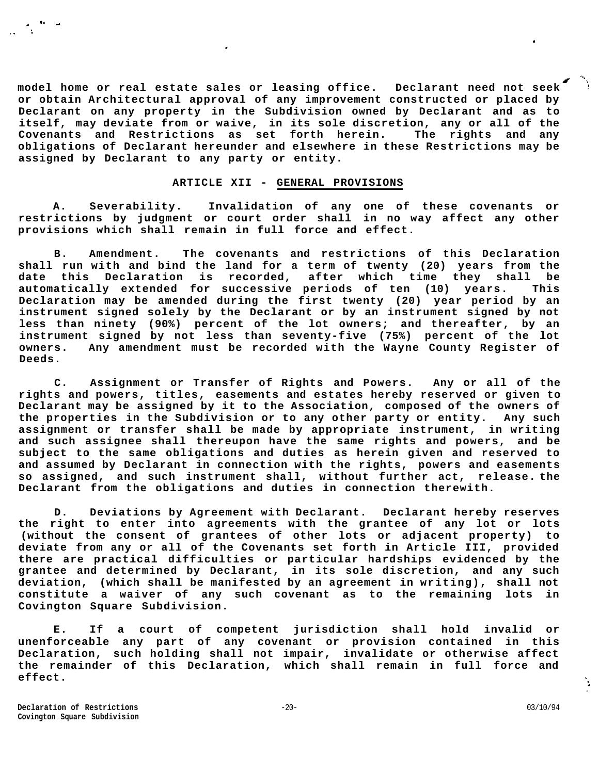**model home or real estate sales or leasing office. Declarant need not seek or obtain Architectural approval of any improvement constructed or placed by Declarant on any property in the Subdivision owned by Declarant and as to itself, may deviate from or waive, in its sole discretion, any or all of the Covenants and Restrictions as set forth herein. The rights and any obligations of Declarant hereunder and elsewhere in these Restrictions may be assigned by Declarant to any party or entity.** 

# **ARTICLE XII - GENERAL PROVISIONS**

**A. Severability. Invalidation of any one of these covenants or restrictions by judgment or court order shall in no way affect any other provisions which shall remain in full force and effect.** 

**B. Amendment. The covenants and restrictions of this Declaration shall run with and bind the land for a term of twenty (20) years from the date this Declaration is recorded, after which time they shall be automatically extended for successive periods of ten (10) years. This Declaration may be amended during the first twenty (20) year period by an instrument signed solely by the Declarant or by an instrument signed by not less than ninety (90%) percent of the lot owners; and thereafter, by an instrument signed by not less than seventy-five (75%) percent of the lot owners. Any amendment must be recorded with the Wayne County Register of Deeds.** 

**C. Assignment or Transfer of Rights and Powers. Any or all of the rights and powers, titles, easements and estates hereby reserved or given to Declarant may be assigned by it to the Association, composed of the owners of the properties in the Subdivision or to any other party or entity. Any such assignment or transfer shall be made by appropriate instrument, in writing and such assignee shall thereupon have the same rights and powers, and be subject to the same obligations and duties as herein given and reserved to and assumed by Declarant in connection with the rights, powers and easements so assigned, and such instrument shall, without further act, release. the Declarant from the obligations and duties in connection therewith.** 

**D. Deviations by Agreement with Declarant. Declarant hereby reserves the right to enter into agreements with the grantee of any lot or lots (without the consent of grantees of other lots or adjacent property) to deviate from any or all of the Covenants set forth in Article III, provided there are practical difficulties or particular hardships evidenced by the grantee and determined by Declarant, in its sole discretion, and any such deviation, (which shall be manifested by an agreement in writing), shall not constitute a waiver of any such covenant as to the remaining lots in Covington Square Subdivision.** 

**E. If a court of competent jurisdiction shall hold invalid or unenforceable any part of any covenant or provision contained in this Declaration, such holding shall not impair, invalidate or otherwise affect the remainder of this Declaration, which shall remain in full force and effect.** 

Ŷ.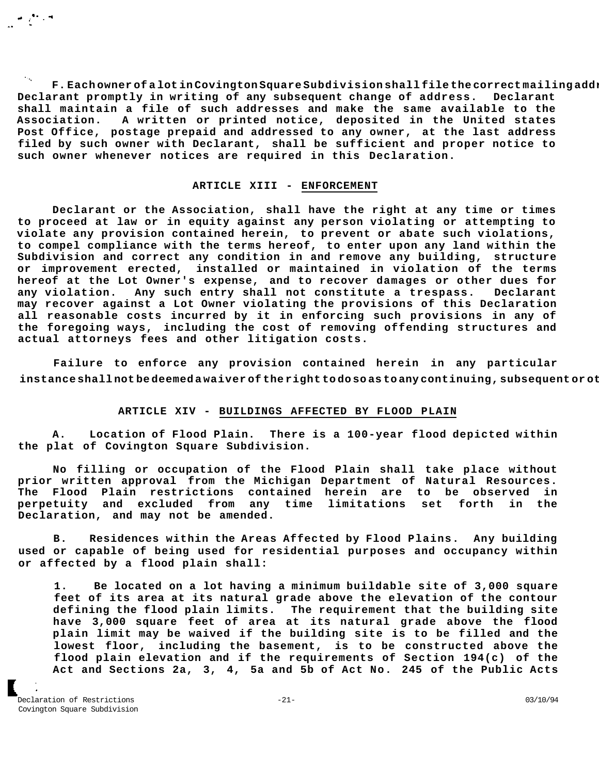**F. Each owner of a lot in Covington Square Subdivision shall file the correct mailing address of such owner with Declarant and shall notify Declarant promptly in writing of any subsequent change of address. Declarant shall maintain a file of such addresses and make the same available to the Association. A written or printed notice, deposited in the United states Post Office, postage prepaid and addressed to any owner, at the last address filed by such owner with Declarant, shall be sufficient and proper notice to such owner whenever notices are required in this Declaration.** 

### **ARTICLE XIII - ENFORCEMENT**

**Declarant or the Association, shall have the right at any time or times to proceed at law or in equity against any person violating or attempting to violate any provision contained herein, to prevent or abate such violations, to compel compliance with the terms hereof, to enter upon any land within the Subdivision and correct any condition in and remove any building, structure or improvement erected, installed or maintained in violation of the terms hereof at the Lot Owner's expense, and to recover damages or other dues for any violation. Any such entry shall not constitute a trespass. Declarant may recover against a Lot Owner violating the provisions of this Declaration all reasonable costs incurred by it in enforcing such provisions in any of the foregoing ways, including the cost of removing offending structures and actual attorneys fees and other litigation costs.** 

**Failure to enforce any provision contained herein in any particular**  instance shall not be deemed a waiver of the right to do so as to any continuing, subsequent or ot

# **ARTICLE XIV - BUILDINGS AFFECTED BY FLOOD PLAIN**

**A. Location of Flood Plain. There is a 100-year flood depicted within the plat of Covington Square Subdivision.** 

**No filling or occupation of the Flood Plain shall take place without prior written approval from the Michigan Department of Natural Resources. The Flood Plain restrictions contained herein are to be observed in perpetuity and excluded from any time limitations set forth in the Declaration, and may not be amended.** 

**B. Residences within the Areas Affected by Flood Plains. Any building used or capable of being used for residential purposes and occupancy within or affected by a flood plain shall:** 

**1. Be located on a lot having a minimum buildable site of 3,000 square feet of its area at its natural grade above the elevation of the contour defining the flood plain limits. The requirement that the building site have 3,000 square feet of area at its natural grade above the flood plain limit may be waived if the building site is to be filled and the lowest floor, including the basement, is to be constructed above the flood plain elevation and if the requirements of Section 194(c) of the Act and Sections 2a, 3, 4, 5a and 5b of Act No. 245 of the Public Acts** 

Declaration of Restrictions -21- 03/10/94 Covington Square Subdivision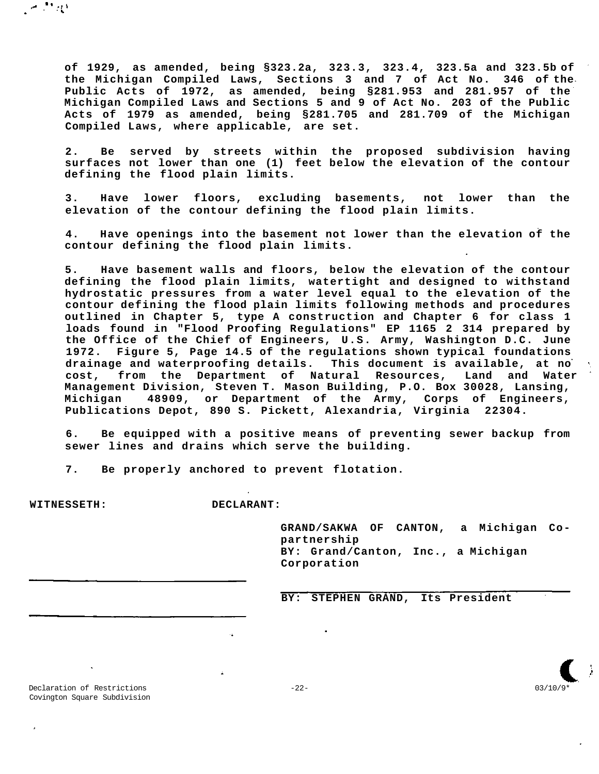**of 1929, as amended, being §323.2a, 323.3, 323.4, 323.5a and 323.5b of the Michigan Compiled Laws, Sections 3 and 7 of Act No. 346 of the Public Acts of 1972, as amended, being §281.953 and 281.957 of the Michigan Compiled Laws and Sections 5 and 9 of Act No. 203 of the Public Acts of 1979 as amended, being §281.705 and 281.709 of the Michigan Compiled Laws, where applicable, are set.** 

**2. Be served by streets within the proposed subdivision having surfaces not lower than one (1) feet below the elevation of the contour defining the flood plain limits.** 

**3. Have lower floors, excluding basements, not lower than the elevation of the contour defining the flood plain limits.** 

**4. Have openings into the basement not lower than the elevation of the contour defining the flood plain limits.** 

**5. Have basement walls and floors, below the elevation of the contour defining the flood plain limits, watertight and designed to withstand hydrostatic pressures from a water level equal to the elevation of the contour defining the flood plain limits following methods and procedures outlined in Chapter 5, type A construction and Chapter 6 for class 1 loads found in "Flood Proofing Regulations" EP 1165 2 314 prepared by the Office of the Chief of Engineers, U.S. Army, Washington D.C. June 1972. Figure 5, Page 14.5 of the regulations shown typical foundations drainage and waterproofing details. This document is available, at no cost, from the Department of Natural Resources, Land and Water Management Division, Steven T. Mason Building, P.O. Box 30028, Lansing, Michigan 48909, or Department of the Army, Corps of Engineers, Publications Depot, 890 S. Pickett, Alexandria, Virginia 22304.** 

**6. Be equipped with a positive means of preventing sewer backup from sewer lines and drains which serve the building.** 

**7. Be properly anchored to prevent flotation.** 

 $\mathcal{L}^{\mathcal{L}}$ 

光度

**WITNESSETH: DECLARANT:** 

**GRAND/SAKWA OF CANTON, a Michigan Copartnership BY: Grand/Canton, Inc., a Michigan Corporation** 

**BY: STEPHEN GRAND, Its President** 

Declaration of Restrictions -22- 03/10/9\* Covington Square Subdivision